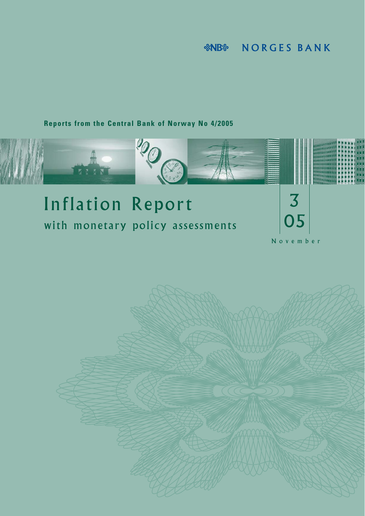**NORGES BANK &NB&** 

## **Reports from the Central Bank of Norway No 4/2005**



# Inflation Report with monetary policy assessments



November

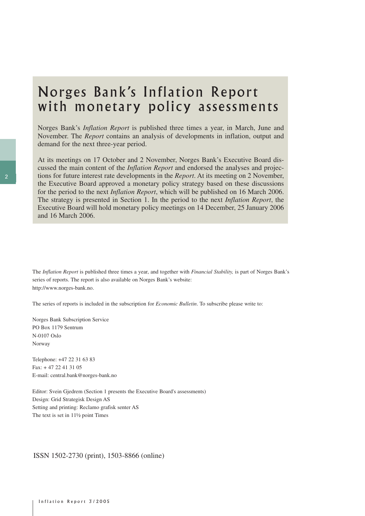## Norges Bank's Inflation Report with monetary policy assessments

Norges Bank's *Inflation Report* is published three times a year, in March, June and November. The *Report* contains an analysis of developments in inflation, output and demand for the next three-year period.

At its meetings on 17 October and 2 November, Norges Bank's Executive Board discussed the main content of the *Inflation Report* and endorsed the analyses and projections for future interest rate developments in the *Report*. At its meeting on 2 November, the Executive Board approved a monetary policy strategy based on these discussions for the period to the next *Inflation Report*, which will be published on 16 March 2006. The strategy is presented in Section 1. In the period to the next *Inflation Report*, the Executive Board will hold monetary policy meetings on 14 December, 25 January 2006 and 16 March 2006.

The *Inflation Report* is published three times a year, and together with *Financial Stability,* is part of Norges Bank's series of reports. The report is also available on Norges Bank's website: http://www.norges-bank.no.

The series of reports is included in the subscription for *Economic Bulletin*. To subscribe please write to:

Norges Bank Subscription Service PO Box 1179 Sentrum N-0107 Oslo Norway

Telephone: +47 22 31 63 83 Fax: + 47 22 41 31 05 E-mail: central.bank@norges-bank.no

Editor: Svein Gjedrem (Section 1 presents the Executive Board's assessments) Design: Grid Strategisk Design AS Setting and printing: Reclamo grafisk senter AS The text is set in 11½ point Times

#### ISSN 1502-2730 (print), 1503-8866 (online)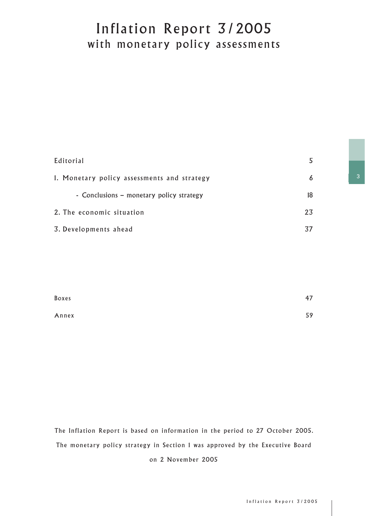## Inflation Report 3/2005 with monetary policy assessments

| Editorial                                   | 5  |
|---------------------------------------------|----|
| 1. Monetary policy assessments and strategy | 6  |
| - Conclusions - monetary policy strategy    | 18 |
| 2. The economic situation                   | 23 |
| 3. Developments ahead                       | 37 |

| Boxes | 47 |
|-------|----|
| Annex | 59 |

The Inflation Report is based on information in the period to 27 October 2005. The monetary policy strategy in Section 1 was approved by the Executive Board on 2 November 2005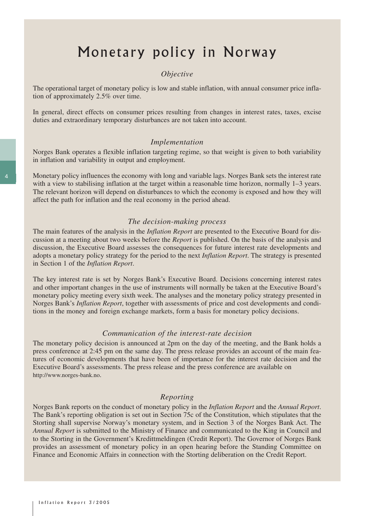## Monetary policy in Norway

### *Objective*

The operational target of monetary policy is low and stable inflation, with annual consumer price inflation of approximately 2.5% over time.

In general, direct effects on consumer prices resulting from changes in interest rates, taxes, excise duties and extraordinary temporary disturbances are not taken into account.

#### *Implementation*

Norges Bank operates a flexible inflation targeting regime, so that weight is given to both variability in inflation and variability in output and employment.

Monetary policy influences the economy with long and variable lags. Norges Bank sets the interest rate with a view to stabilising inflation at the target within a reasonable time horizon, normally 1–3 years. The relevant horizon will depend on disturbances to which the economy is exposed and how they will affect the path for inflation and the real economy in the period ahead.

#### *The decision-making process*

The main features of the analysis in the *Inflation Report* are presented to the Executive Board for discussion at a meeting about two weeks before the *Report* is published. On the basis of the analysis and discussion, the Executive Board assesses the consequences for future interest rate developments and adopts a monetary policy strategy for the period to the next *Inflation Report*. The strategy is presented in Section 1 of the *Inflation Report*.

The key interest rate is set by Norges Bank's Executive Board. Decisions concerning interest rates and other important changes in the use of instruments will normally be taken at the Executive Board's monetary policy meeting every sixth week. The analyses and the monetary policy strategy presented in Norges Bank's *Inflation Report*, together with assessments of price and cost developments and conditions in the money and foreign exchange markets, form a basis for monetary policy decisions.

#### *Communication of the interest-rate decision*

The monetary policy decision is announced at 2pm on the day of the meeting, and the Bank holds a press conference at 2:45 pm on the same day. The press release provides an account of the main features of economic developments that have been of importance for the interest rate decision and the Executive Board's assessments. The press release and the press conference are available on http://www.norges-bank.no.

#### *Reporting*

Norges Bank reports on the conduct of monetary policy in the *Inflation Report* and the *Annual Report*. The Bank's reporting obligation is set out in Section 75c of the Constitution, which stipulates that the Storting shall supervise Norway's monetary system, and in Section 3 of the Norges Bank Act. The *Annual Report* is submitted to the Ministry of Finance and communicated to the King in Council and to the Storting in the Government's Kredittmeldingen (Credit Report). The Governor of Norges Bank provides an assessment of monetary policy in an open hearing before the Standing Committee on Finance and Economic Affairs in connection with the Storting deliberation on the Credit Report.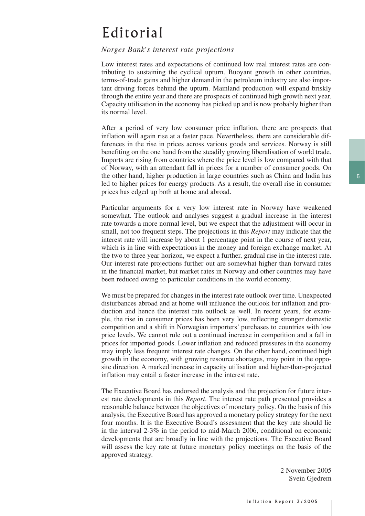## Editorial

#### *Norges Bank*'*s interest rate projections*

Low interest rates and expectations of continued low real interest rates are contributing to sustaining the cyclical upturn. Buoyant growth in other countries, terms-of-trade gains and higher demand in the petroleum industry are also important driving forces behind the upturn. Mainland production will expand briskly through the entire year and there are prospects of continued high growth next year. Capacity utilisation in the economy has picked up and is now probably higher than its normal level.

After a period of very low consumer price inflation, there are prospects that inflation will again rise at a faster pace. Nevertheless, there are considerable differences in the rise in prices across various goods and services. Norway is still benefiting on the one hand from the steadily growing liberalisation of world trade. Imports are rising from countries where the price level is low compared with that of Norway, with an attendant fall in prices for a number of consumer goods. On the other hand, higher production in large countries such as China and India has led to higher prices for energy products. As a result, the overall rise in consumer prices has edged up both at home and abroad.

Particular arguments for a very low interest rate in Norway have weakened somewhat. The outlook and analyses suggest a gradual increase in the interest rate towards a more normal level, but we expect that the adjustment will occur in small, not too frequent steps. The projections in this *Report* may indicate that the interest rate will increase by about 1 percentage point in the course of next year, which is in line with expectations in the money and foreign exchange market. At the two to three year horizon, we expect a further, gradual rise in the interest rate. Our interest rate projections further out are somewhat higher than forward rates in the financial market, but market rates in Norway and other countries may have been reduced owing to particular conditions in the world economy.

We must be prepared for changes in the interest rate outlook over time. Unexpected disturbances abroad and at home will influence the outlook for inflation and production and hence the interest rate outlook as well. In recent years, for example, the rise in consumer prices has been very low, reflecting stronger domestic competition and a shift in Norwegian importers' purchases to countries with low price levels. We cannot rule out a continued increase in competition and a fall in prices for imported goods. Lower inflation and reduced pressures in the economy may imply less frequent interest rate changes. On the other hand, continued high growth in the economy, with growing resource shortages, may point in the opposite direction. A marked increase in capacity utilisation and higher-than-projected inflation may entail a faster increase in the interest rate.

The Executive Board has endorsed the analysis and the projection for future interest rate developments in this *Report*. The interest rate path presented provides a reasonable balance between the objectives of monetary policy. On the basis of this analysis, the Executive Board has approved a monetary policy strategy for the next four months. It is the Executive Board's assessment that the key rate should lie in the interval 2-3% in the period to mid-March 2006, conditional on economic developments that are broadly in line with the projections. The Executive Board will assess the key rate at future monetary policy meetings on the basis of the approved strategy.

> 2 November 2005 Svein Gjedrem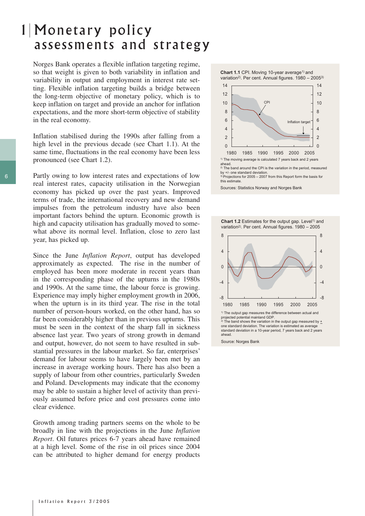## Monetary policy 1 assessments and strategy

Norges Bank operates a flexible inflation targeting regime, so that weight is given to both variability in inflation and variability in output and employment in interest rate setting. Flexible inflation targeting builds a bridge between the long-term objective of monetary policy, which is to keep inflation on target and provide an anchor for inflation expectations, and the more short-term objective of stability in the real economy.

Inflation stabilised during the 1990s after falling from a high level in the previous decade (see Chart 1.1). At the same time, fluctuations in the real economy have been less pronounced (see Chart 1.2).

Partly owing to low interest rates and expectations of low real interest rates, capacity utilisation in the Norwegian economy has picked up over the past years. Improved terms of trade, the international recovery and new demand impulses from the petroleum industry have also been important factors behind the upturn. Economic growth is high and capacity utilisation has gradually moved to somewhat above its normal level. Inflation, close to zero last year, has picked up.

Since the June *Inflation Report*, output has developed approximately as expected. The rise in the number of employed has been more moderate in recent years than in the corresponding phase of the upturns in the 1980s and 1990s. At the same time, the labour force is growing. Experience may imply higher employment growth in 2006, when the upturn is in its third year. The rise in the total number of person-hours worked, on the other hand, has so far been considerably higher than in previous upturns. This must be seen in the context of the sharp fall in sickness absence last year. Two years of strong growth in demand and output, however, do not seem to have resulted in substantial pressures in the labour market. So far, enterprises' demand for labour seems to have largely been met by an increase in average working hours. There has also been a supply of labour from other countries, particularly Sweden and Poland. Developments may indicate that the economy may be able to sustain a higher level of activity than previously assumed before price and cost pressures come into clear evidence.

Growth among trading partners seems on the whole to be broadly in line with the projections in the June *Inflation Report*. Oil futures prices 6-7 years ahead have remained at a high level. Some of the rise in oil prices since 2004 can be attributed to higher demand for energy products





3) Projections for 2005 – 2007 from this Report form the basis for this estimate.

Sources: Statistics Norway and Norges Bank

**Chart 1.2** Estimates for the output gap. Level<sup>1)</sup> and variation<sup>2)</sup>. Per cent. Annual figures. 1980 – 2005



one standard deviation. The variation is estimated as average standard deviation in a 10-year period, 7 years back and 2 years ahead.

Source: Norges Bank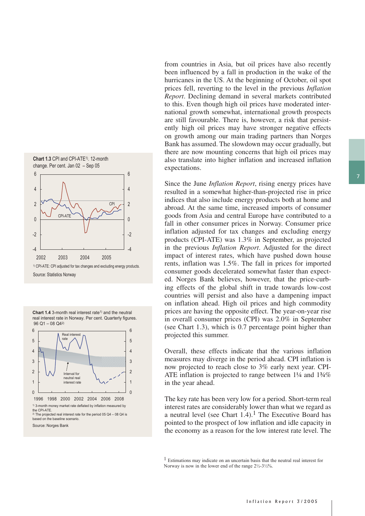





from countries in Asia, but oil prices have also recently been influenced by a fall in production in the wake of the hurricanes in the US. At the beginning of October, oil spot prices fell, reverting to the level in the previous *Inflation Report*. Declining demand in several markets contributed to this. Even though high oil prices have moderated international growth somewhat, international growth prospects are still favourable. There is, however, a risk that persistently high oil prices may have stronger negative effects on growth among our main trading partners than Norges Bank has assumed. The slowdown may occur gradually, but there are now mounting concerns that high oil prices may also translate into higher inflation and increased inflation expectations.

Since the June *Inflation Report*, rising energy prices have resulted in a somewhat higher-than-projected rise in price indices that also include energy products both at home and abroad. At the same time, increased imports of consumer goods from Asia and central Europe have contributed to a fall in other consumer prices in Norway. Consumer price inflation adjusted for tax changes and excluding energy products (CPI-ATE) was 1.3% in September, as projected in the previous *Inflation Report*. Adjusted for the direct impact of interest rates, which have pushed down house rents, inflation was 1.5%. The fall in prices for imported consumer goods decelerated somewhat faster than expected. Norges Bank believes, however, that the price-curbing effects of the global shift in trade towards low-cost countries will persist and also have a dampening impact on inflation ahead. High oil prices and high commodity prices are having the opposite effect. The year-on-year rise in overall consumer prices (CPI) was 2.0% in September (see Chart 1.3), which is 0.7 percentage point higher than projected this summer.

Overall, these effects indicate that the various inflation measures may diverge in the period ahead. CPI inflation is now projected to reach close to 3% early next year. CPI-ATE inflation is projected to range between 1¼ and 1¾% in the year ahead.

The key rate has been very low for a period. Short-term real interest rates are considerably lower than what we regard as a neutral level (see Chart 1.4).<sup>1</sup> The Executive Board has pointed to the prospect of low inflation and idle capacity in the economy as a reason for the low interest rate level. The

1 Estimations may indicate on an uncertain basis that the neutral real interest for Norway is now in the lower end of the range  $2\frac{1}{2}$ -3 $\frac{1}{2}\frac{9}{6}$ .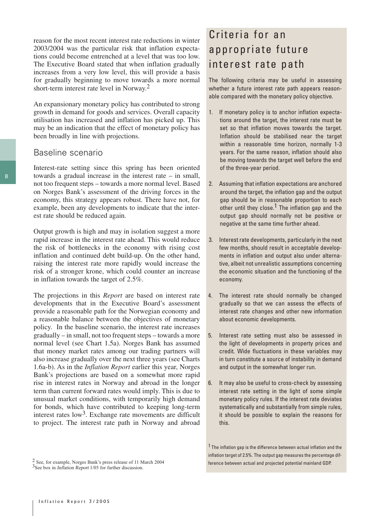reason for the most recent interest rate reductions in winter 2003/2004 was the particular risk that inflation expectations could become entrenched at a level that was too low. The Executive Board stated that when inflation gradually increases from a very low level, this will provide a basis for gradually beginning to move towards a more normal short-term interest rate level in Norway.2

An expansionary monetary policy has contributed to strong growth in demand for goods and services. Overall capacity utilisation has increased and inflation has picked up. This may be an indication that the effect of monetary policy has been broadly in line with projections.

### Baseline scenario

Interest-rate setting since this spring has been oriented towards a gradual increase in the interest rate – in small, not too frequent steps – towards a more normal level. Based on Norges Bank's assessment of the driving forces in the economy, this strategy appears robust. There have not, for example, been any developments to indicate that the interest rate should be reduced again.

Output growth is high and may in isolation suggest a more rapid increase in the interest rate ahead. This would reduce the risk of bottlenecks in the economy with rising cost inflation and continued debt build-up. On the other hand, raising the interest rate more rapidly would increase the risk of a stronger krone, which could counter an increase in inflation towards the target of 2.5%.

The projections in this *Report* are based on interest rate developments that in the Executive Board's assessment provide a reasonable path for the Norwegian economy and a reasonable balance between the objectives of monetary policy. In the baseline scenario, the interest rate increases gradually – in small, not too frequent steps – towards a more normal level (see Chart 1.5a). Norges Bank has assumed that money market rates among our trading partners will also increase gradually over the next three years (see Charts 1.6a-b). As in the *Inflation Report* earlier this year, Norges Bank's projections are based on a somewhat more rapid rise in interest rates in Norway and abroad in the longer term than current forward rates would imply. This is due to unusual market conditions, with temporarily high demand for bonds, which have contributed to keeping long-term interest rates  $low<sup>3</sup>$ . Exchange rate movements are difficult to project. The interest rate path in Norway and abroad

## Criteria for an appropriate future interest rate path

The following criteria may be useful in assessing whether a future interest rate path appears reasonable compared with the monetary policy objective.

- 1. If monetary policy is to anchor inflation expectations around the target, the interest rate must be set so that inflation moves towards the target. Inflation should be stabilised near the target within a reasonable time horizon, normally 1-3 years. For the same reason, inflation should also be moving towards the target well before the end of the three-year period.
- 2. Assuming that inflation expectations are anchored around the target, the inflation gap and the output gap should be in reasonable proportion to each other until they close.<sup>1</sup> The inflation gap and the output gap should normally not be positive or negative at the same time further ahead.
- 3. Interest rate developments, particularly in the next few months, should result in acceptable developments in inflation and output also under alternative, albeit not unrealistic assumptions concerning the economic situation and the functioning of the economy.
- 4. The interest rate should normally be changed gradually so that we can assess the effects of interest rate changes and other new information about economic developments.
- 5. Interest rate setting must also be assessed in the light of developments in property prices and credit. Wide fluctuations in these variables may in turn constitute a source of instability in demand and output in the somewhat longer run.
- 6. It may also be useful to cross-check by assessing interest rate setting in the light of some simple monetary policy rules. If the interest rate deviates systematically and substantially from simple rules, it should be possible to explain the reasons for this.

 $1$  The inflation gap is the difference between actual inflation and the inflation target of 2.5%. The output gap measures the percentage dif- $\frac{2}{3}$  See, for example, Norges Bank's press release of 11 March 2004 ference between actual and projected potential mainland GDP.

<sup>&</sup>lt;sup>3</sup>See box in *Inflation Report* 1/05 for further discussion.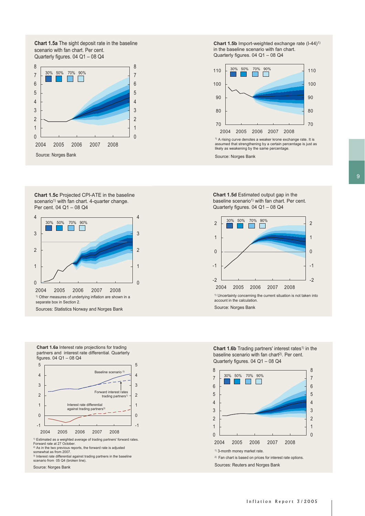**Chart 1.5a** The sight deposit rate in the baseline scenario with fan chart. Per cent. Quarterly figures. 04 Q1 – 08 Q4



**Chart 1.5c** Projected CPI-ATE in the baseline scenario<sup>1)</sup> with fan chart. 4-quarter change. Per cent. 04 Q1 – 08 Q4



**Chart 1.6a** Interest rate projections for trading partners and interest rate differential. Quarterly figures. 04 Q1 – 08 Q4



<sup>2)</sup> As in the two previous reports, the forward rate is adjusted<br>somewhat as from 2007.<br><sup>3)</sup> Interest rate differential against trading partners in the baseline scenario from 05 Q4 (broken line).

Source: Norges Bank

**Chart 1.5b** Import-weighted exchange rate (I-44)<sup>1)</sup> in the baseline scenario with fan chart. Quarterly figures. 04 Q1 – 08 Q4



assumed that strengthening by a certain percentage is just as likely as weakening by the same percentage.

Source: Norges Bank

**Chart 1.5d** Estimated output gap in the baseline scenario<sup>1)</sup> with fan chart. Per cent. Quarterly figures. 04 Q1 – 08 Q4



**Chart 1.6b** Trading partners' interest rates<sup>1)</sup> in the baseline scenario with fan chart<sup>2)</sup>. Per cent. Quarterly figures. 04 Q1 – 08 Q4

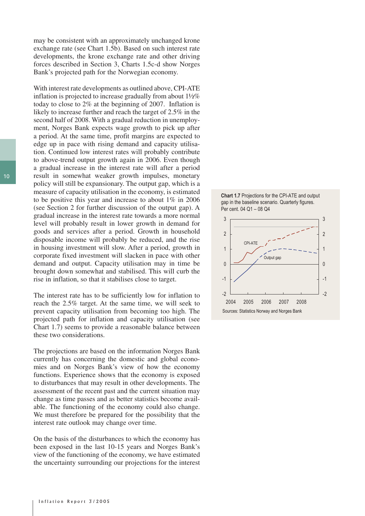may be consistent with an approximately unchanged krone exchange rate (see Chart 1.5b). Based on such interest rate developments, the krone exchange rate and other driving forces described in Section 3, Charts 1.5c-d show Norges Bank's projected path for the Norwegian economy.

With interest rate developments as outlined above, CPI-ATE inflation is projected to increase gradually from about  $1\frac{1}{2}\%$ today to close to 2% at the beginning of 2007. Inflation is likely to increase further and reach the target of 2.5% in the second half of 2008. With a gradual reduction in unemployment, Norges Bank expects wage growth to pick up after a period. At the same time, profit margins are expected to edge up in pace with rising demand and capacity utilisation. Continued low interest rates will probably contribute to above-trend output growth again in 2006. Even though a gradual increase in the interest rate will after a period result in somewhat weaker growth impulses, monetary policy will still be expansionary. The output gap, which is a measure of capacity utilisation in the economy, is estimated to be positive this year and increase to about 1% in 2006 (see Section 2 for further discussion of the output gap). A gradual increase in the interest rate towards a more normal level will probably result in lower growth in demand for goods and services after a period. Growth in household disposable income will probably be reduced, and the rise in housing investment will slow. After a period, growth in corporate fixed investment will slacken in pace with other demand and output. Capacity utilisation may in time be brought down somewhat and stabilised. This will curb the rise in inflation, so that it stabilises close to target.

The interest rate has to be sufficiently low for inflation to reach the 2.5% target. At the same time, we will seek to prevent capacity utilisation from becoming too high. The projected path for inflation and capacity utilisation (see Chart 1.7) seems to provide a reasonable balance between these two considerations.

The projections are based on the information Norges Bank currently has concerning the domestic and global economies and on Norges Bank's view of how the economy functions. Experience shows that the economy is exposed to disturbances that may result in other developments. The assessment of the recent past and the current situation may change as time passes and as better statistics become available. The functioning of the economy could also change. We must therefore be prepared for the possibility that the interest rate outlook may change over time.

On the basis of the disturbances to which the economy has been exposed in the last 10-15 years and Norges Bank's view of the functioning of the economy, we have estimated the uncertainty surrounding our projections for the interest



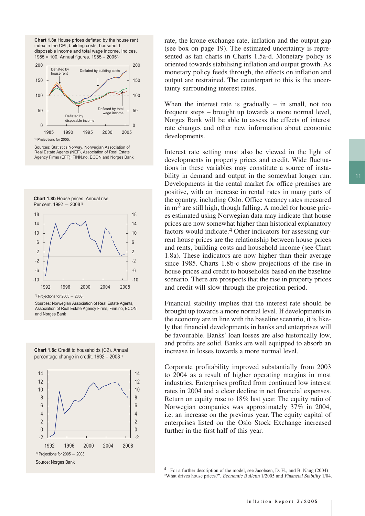**Chart 1.8a** House prices deflated by the house rent index in the CPI, building costs, household disposable income and total wage income. Indices, 1985 = 100. Annual figures. 1985 – 20051)



Sources: Statistics Norway, Norwegian Association of Real Estate Agents (NEF), Association of Real Estate Agency Firms (EFF), FINN.no, ECON and Norges Bank





 $1)$  Projections for 2005  $-$  2008.

Sources: Norwegian Association of Real Estate Agents, Association of Real Estate Agency Firms, Finn.no, ECON and Norges Bank

**Chart 1.8c** Credit to households (C2). Annual percentage change in credit. 1992 – 20081)



rate, the krone exchange rate, inflation and the output gap (see box on page 19). The estimated uncertainty is represented as fan charts in Charts 1.5a-d. Monetary policy is oriented towards stabilising inflation and output growth. As monetary policy feeds through, the effects on inflation and output are restrained. The counterpart to this is the uncertainty surrounding interest rates.

When the interest rate is gradually  $-$  in small, not too frequent steps – brought up towards a more normal level, Norges Bank will be able to assess the effects of interest rate changes and other new information about economic developments.

Interest rate setting must also be viewed in the light of developments in property prices and credit. Wide fluctuations in these variables may constitute a source of instability in demand and output in the somewhat longer run. Developments in the rental market for office premises are positive, with an increase in rental rates in many parts of the country, including Oslo. Office vacancy rates measured in  $m<sup>2</sup>$  are still high, though falling. A model for house prices estimated using Norwegian data may indicate that house prices are now somewhat higher than historical explanatory factors would indicate.4 Other indicators for assessing current house prices are the relationship between house prices and rents, building costs and household income (see Chart 1.8a). These indicators are now higher than their average since 1985. Charts 1.8b-c show projections of the rise in house prices and credit to households based on the baseline scenario. There are prospects that the rise in property prices and credit will slow through the projection period.

Financial stability implies that the interest rate should be brought up towards a more normal level. If developments in the economy are in line with the baseline scenario, it is likely that financial developments in banks and enterprises will be favourable. Banks' loan losses are also historically low, and profits are solid. Banks are well equipped to absorb an increase in losses towards a more normal level.

Corporate profitability improved substantially from 2003 to 2004 as a result of higher operating margins in most industries. Enterprises profited from continued low interest rates in 2004 and a clear decline in net financial expenses. Return on equity rose to 18% last year. The equity ratio of Norwegian companies was approximately 37% in 2004, i.e. an increase on the previous year. The equity capital of enterprises listed on the Oslo Stock Exchange increased further in the first half of this year.

4 For a further description of the model, see Jacobsen, D. H., and B. Naug (2004) "What drives house prices?". Economic Bulletin 1/2005 and Financial Stability 1/04.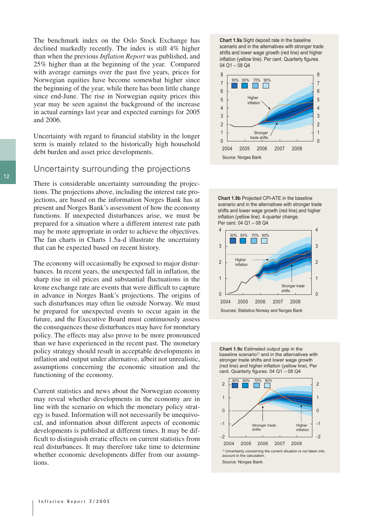The benchmark index on the Oslo Stock Exchange has declined markedly recently. The index is still 4% higher than when the previous *Inflation Report* was published, and 25% higher than at the beginning of the year. Compared with average earnings over the past five years, prices for Norwegian equities have become somewhat higher since the beginning of the year, while there has been little change since end-June. The rise in Norwegian equity prices this year may be seen against the background of the increase in actual earnings last year and expected earnings for 2005 and 2006.

Uncertainty with regard to financial stability in the longer term is mainly related to the historically high household debt burden and asset price developments.

### Uncertainty surrounding the projections

There is considerable uncertainty surrounding the projections. The projections above, including the interest rate projections, are based on the information Norges Bank has at present and Norges Bank's assessment of how the economy functions. If unexpected disturbances arise, we must be prepared for a situation where a different interest rate path may be more appropriate in order to achieve the objectives. The fan charts in Charts 1.5a-d illustrate the uncertainty that can be expected based on recent history.

The economy will occasionally be exposed to major disturbances. In recent years, the unexpected fall in inflation, the sharp rise in oil prices and substantial fluctuations in the krone exchange rate are events that were difficult to capture in advance in Norges Bank's projections. The origins of such disturbances may often lie outside Norway. We must be prepared for unexpected events to occur again in the future, and the Executive Board must continuously assess the consequences these disturbances may have for monetary policy. The effects may also prove to be more pronounced than we have experienced in the recent past. The monetary policy strategy should result in acceptable developments in inflation and output under alternative, albeit not unrealistic, assumptions concerning the economic situation and the functioning of the economy.

Current statistics and news about the Norwegian economy may reveal whether developments in the economy are in line with the scenario on which the monetary policy strategy is based. Information will not necessarily be unequivocal, and information about different aspects of economic developments is published at different times. It may be difficult to distinguish erratic effects on current statistics from real disturbances. It may therefore take time to determine whether economic developments differ from our assumptions.

**Chart 1.9a** Sight deposit rate in the baseline scenario and in the alternatives with stronger trade shifts and lower wage growth (red line) and higher inflation (yellow line). Per cent. Quarterly figures. 04 Q1 – 08 Q4







**Chart 1.9c** Estimated output gap in the baseline scenario<sup>1)</sup> and in the alternatives with stronger trade shifts and lower wage growth (red line) and higher inflation (yellow line). Per cent. Quarterly figures. 04 Q1 – 08 Q4

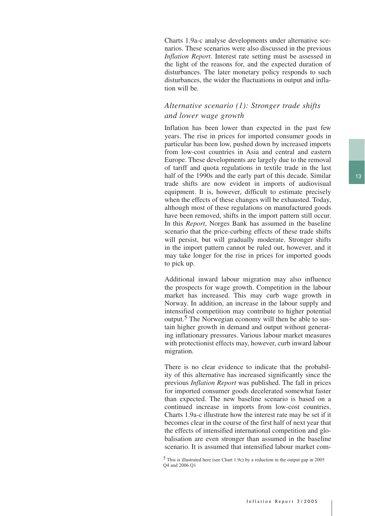Charts 1.9a-c analyse developments under alternative scenarios. These scenarios were also discussed in the previous *Inflation Report*. Interest rate setting must be assessed in the light of the reasons for, and the expected duration of disturbances. The later monetary policy responds to such disturbances, the wider the fluctuations in output and inflation will be.

### *Alternative scenario (1): Stronger trade shifts and lower wage growth*

Inflation has been lower than expected in the past few years. The rise in prices for imported consumer goods in particular has been low, pushed down by increased imports from low-cost countries in Asia and central and eastern Europe. These developments are largely due to the removal of tariff and quota regulations in textile trade in the last half of the 1990s and the early part of this decade. Similar trade shifts are now evident in imports of audiovisual equipment. It is, however, difficult to estimate precisely when the effects of these changes will be exhausted. Today, although most of these regulations on manufactured goods have been removed, shifts in the import pattern still occur. In this *Report*, Norges Bank has assumed in the baseline scenario that the price-curbing effects of these trade shifts will persist, but will gradually moderate. Stronger shifts in the import pattern cannot be ruled out, however, and it may take longer for the rise in prices for imported goods to pick up.

Additional inward labour migration may also influence the prospects for wage growth. Competition in the labour market has increased. This may curb wage growth in Norway. In addition, an increase in the labour supply and intensified competition may contribute to higher potential output.5 The Norwegian economy will then be able to sustain higher growth in demand and output without generating inflationary pressures. Various labour market measures with protectionist effects may, however, curb inward labour migration.

There is no clear evidence to indicate that the probability of this alternative has increased significantly since the previous *Inflation Report* was published. The fall in prices for imported consumer goods decelerated somewhat faster than expected. The new baseline scenario is based on a continued increase in imports from low-cost countries. Charts 1.9a-c illustrate how the interest rate may be set if it becomes clear in the course of the first half of next year that the effects of intensified international competition and globalisation are even stronger than assumed in the baseline scenario. It is assumed that intensified labour market com-

5 This is illustrated here (see Chart 1.9c) by a reduction in the output gap in 2005 Q4 and 2006 Q1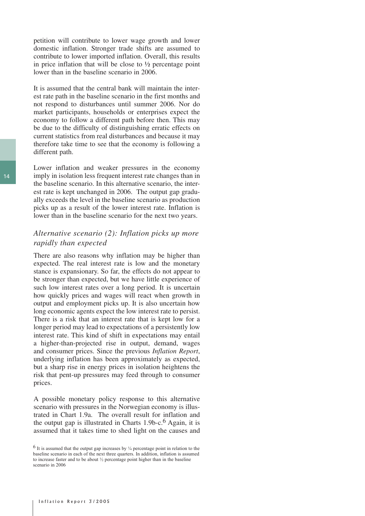petition will contribute to lower wage growth and lower domestic inflation. Stronger trade shifts are assumed to contribute to lower imported inflation. Overall, this results in price inflation that will be close to  $\frac{1}{2}$  percentage point lower than in the baseline scenario in 2006.

It is assumed that the central bank will maintain the interest rate path in the baseline scenario in the first months and not respond to disturbances until summer 2006. Nor do market participants, households or enterprises expect the economy to follow a different path before then. This may be due to the difficulty of distinguishing erratic effects on current statistics from real disturbances and because it may therefore take time to see that the economy is following a different path.

Lower inflation and weaker pressures in the economy imply in isolation less frequent interest rate changes than in the baseline scenario. In this alternative scenario, the interest rate is kept unchanged in 2006. The output gap gradually exceeds the level in the baseline scenario as production picks up as a result of the lower interest rate. Inflation is lower than in the baseline scenario for the next two years.

### *Alternative scenario (2): Inflation picks up more rapidly than expected*

There are also reasons why inflation may be higher than expected. The real interest rate is low and the monetary stance is expansionary. So far, the effects do not appear to be stronger than expected, but we have little experience of such low interest rates over a long period. It is uncertain how quickly prices and wages will react when growth in output and employment picks up. It is also uncertain how long economic agents expect the low interest rate to persist. There is a risk that an interest rate that is kept low for a longer period may lead to expectations of a persistently low interest rate. This kind of shift in expectations may entail a higher-than-projected rise in output, demand, wages and consumer prices. Since the previous *Inflation Report*, underlying inflation has been approximately as expected, but a sharp rise in energy prices in isolation heightens the risk that pent-up pressures may feed through to consumer prices.

A possible monetary policy response to this alternative scenario with pressures in the Norwegian economy is illustrated in Chart 1.9a. The overall result for inflation and the output gap is illustrated in Charts  $1.9b-c$ .<sup>6</sup> Again, it is assumed that it takes time to shed light on the causes and

 $6$  It is assumed that the output gap increases by  $\frac{1}{4}$  percentage point in relation to the baseline scenario in each of the next three quarters. In addition, inflation is assumed to increase faster and to be about ½ percentage point higher than in the baseline scenario in 2006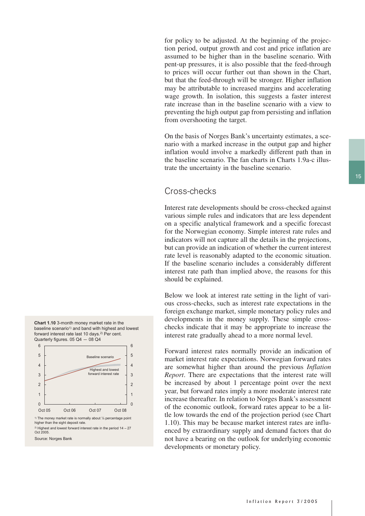for policy to be adjusted. At the beginning of the projection period, output growth and cost and price inflation are assumed to be higher than in the baseline scenario. With pent-up pressures, it is also possible that the feed-through to prices will occur further out than shown in the Chart, but that the feed-through will be stronger. Higher inflation may be attributable to increased margins and accelerating wage growth. In isolation, this suggests a faster interest rate increase than in the baseline scenario with a view to preventing the high output gap from persisting and inflation from overshooting the target.

On the basis of Norges Bank's uncertainty estimates, a scenario with a marked increase in the output gap and higher inflation would involve a markedly different path than in the baseline scenario. The fan charts in Charts 1.9a-c illustrate the uncertainty in the baseline scenario.

## Cross-checks

Interest rate developments should be cross-checked against various simple rules and indicators that are less dependent on a specific analytical framework and a specific forecast for the Norwegian economy. Simple interest rate rules and indicators will not capture all the details in the projections, but can provide an indication of whether the current interest rate level is reasonably adapted to the economic situation. If the baseline scenario includes a considerably different interest rate path than implied above, the reasons for this should be explained.

Below we look at interest rate setting in the light of various cross-checks, such as interest rate expectations in the foreign exchange market, simple monetary policy rules and developments in the money supply. These simple crosschecks indicate that it may be appropriate to increase the interest rate gradually ahead to a more normal level.

Forward interest rates normally provide an indication of market interest rate expectations. Norwegian forward rates are somewhat higher than around the previous *Inflation Report*. There are expectations that the interest rate will be increased by about 1 percentage point over the next year, but forward rates imply a more moderate interest rate increase thereafter. In relation to Norges Bank's assessment of the economic outlook, forward rates appear to be a little low towards the end of the projection period (see Chart 1.10). This may be because market interest rates are influenced by extraordinary supply and demand factors that do not have a bearing on the outlook for underlying economic developments or monetary policy.



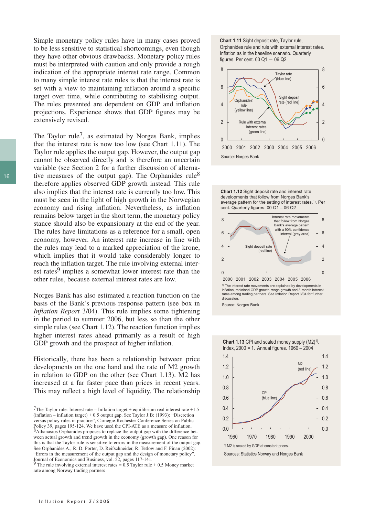Simple monetary policy rules have in many cases proved to be less sensitive to statistical shortcomings, even though they have other obvious drawbacks. Monetary policy rules must be interpreted with caution and only provide a rough indication of the appropriate interest rate range. Common to many simple interest rate rules is that the interest rate is set with a view to maintaining inflation around a specific target over time, while contributing to stabilising output. The rules presented are dependent on GDP and inflation projections. Experience shows that GDP figures may be extensively revised.

The Taylor rule<sup> $\prime$ </sup>, as estimated by Norges Bank, implies that the interest rate is now too low (see Chart 1.11). The Taylor rule applies the output gap. However, the output gap cannot be observed directly and is therefore an uncertain variable (see Section 2 for a further discussion of alternative measures of the output gap). The Orphanides rule<sup>8</sup> therefore applies observed GDP growth instead. This rule also implies that the interest rate is currently too low. This must be seen in the light of high growth in the Norwegian economy and rising inflation. Nevertheless, as inflation remains below target in the short term, the monetary policy stance should also be expansionary at the end of the year. The rules have limitations as a reference for a small, open economy, however. An interest rate increase in line with the rules may lead to a marked appreciation of the krone, which implies that it would take considerably longer to reach the inflation target. The rule involving external interest rates<sup>9</sup> implies a somewhat lower interest rate than the other rules, because external interest rates are low.

Norges Bank has also estimated a reaction function on the basis of the Bank's previous response pattern (see box in *Inflation Report* 3/04). This rule implies some tightening in the period to summer 2006, but less so than the other simple rules (see Chart 1.12). The reaction function implies higher interest rates ahead primarily as a result of high GDP growth and the prospect of higher inflation.

Historically, there has been a relationship between price developments on the one hand and the rate of M2 growth in relation to GDP on the other (see Chart 1.13). M2 has increased at a far faster pace than prices in recent years. This may reflect a high level of liquidity. The relationship

<sup>9</sup> The rule involving external interest rates =  $0.5$  Taylor rule + 0.5 Money market rate among Norway trading partners

**Chart 1.11** Sight deposit rate, Taylor rule, Orphanides rule and rule with external interest rates. Inflation as in the baseline scenario. Quarterly figures. Per cent.  $00 Q1 - 06 Q2$ 







<sup>1)</sup> The interest rate movements are explained by developments in inflation, mainland GDP growth, wage growth and 3-month interest rates among trading partners. See Inflation Report 3/04 for further discussion.

Source: Norges Bank

**Chart 1.13 CPI and scaled money supply (M2)<sup>1)</sup>.** Index, 2000 = 1. Annual figures. 1960 – 2004



<sup>&</sup>lt;sup>7</sup>The Taylor rule: Interest rate = Inflation target + equilibrium real interest rate +1.5 (inflation – inflation target) + 0.5 output gap. See Taylor J:B: (1993): "Discretion versus policy rules in practice", Carnegie-Rochester Conference Series on Public Policy 39, pages 195-124. We have used the CPI-ATE as a measure of inflation. 8Athanasios Orphanides proposes to replace the output gap with the difference between actual growth and trend growth in the economy (growth gap). One reason for this is that the Taylor rule is sensitive to errors in the measurement of the output gap. See Orphanides A., R. D. Porter, D. Reifschneider, R. Tetlow and F. Finan (2002): "Errors in the measurement of the output gap and the design of monetary policy". Journal of Economics and Business, vol. 52, pages 117-141.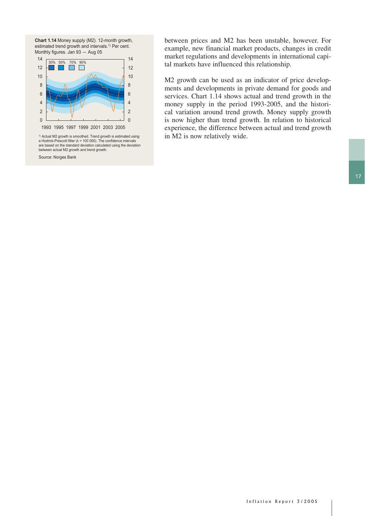



a Hodrick-Prescott filter ( $\lambda$  = 100 000). The confidence intervals<br>are based on the standard deviation calculated using the deviation between actual M2 growth and trend growth.

Source: Norges Bank

between prices and M2 has been unstable, however. For example, new financial market products, changes in credit market regulations and developments in international capital markets have influenced this relationship.

M2 growth can be used as an indicator of price developments and developments in private demand for goods and services. Chart 1.14 shows actual and trend growth in the money supply in the period 1993-2005, and the historical variation around trend growth. Money supply growth is now higher than trend growth. In relation to historical experience, the difference between actual and trend growth  $\cdot$  Actual M2 growth is smoothed. Trend growth is estimated using  $\cdot$  in M2 is now relatively wide.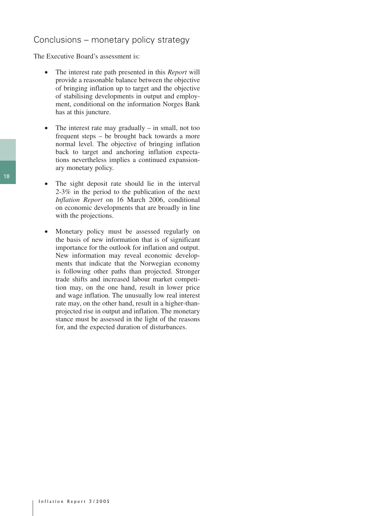## Conclusions – monetary policy strategy

The Executive Board's assessment is:

- The interest rate path presented in this *Report* will provide a reasonable balance between the objective of bringing inflation up to target and the objective of stabilising developments in output and employment, conditional on the information Norges Bank has at this juncture.
- The interest rate may gradually in small, not too frequent steps – be brought back towards a more normal level. The objective of bringing inflation back to target and anchoring inflation expectations nevertheless implies a continued expansionary monetary policy.
- The sight deposit rate should lie in the interval 2-3% in the period to the publication of the next *Inflation Report* on 16 March 2006, conditional on economic developments that are broadly in line with the projections.
- Monetary policy must be assessed regularly on the basis of new information that is of significant importance for the outlook for inflation and output. New information may reveal economic developments that indicate that the Norwegian economy is following other paths than projected. Stronger trade shifts and increased labour market competition may, on the one hand, result in lower price and wage inflation. The unusually low real interest rate may, on the other hand, result in a higher-thanprojected rise in output and inflation. The monetary stance must be assessed in the light of the reasons for, and the expected duration of disturbances.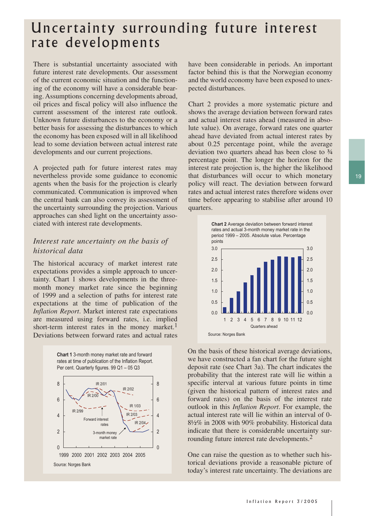## Uncertainty surrounding future interest rate developments

There is substantial uncertainty associated with future interest rate developments. Our assessment of the current economic situation and the functioning of the economy will have a considerable bearing. Assumptions concerning developments abroad, oil prices and fiscal policy will also influence the current assessment of the interest rate outlook. Unknown future disturbances to the economy or a better basis for assessing the disturbances to which the economy has been exposed will in all likelihood lead to some deviation between actual interest rate developments and our current projections.

A projected path for future interest rates may nevertheless provide some guidance to economic agents when the basis for the projection is clearly communicated. Communication is improved when the central bank can also convey its assessment of the uncertainty surrounding the projection. Various approaches can shed light on the uncertainty associated with interest rate developments.

## *Interest rate uncertainty on the basis of historical data*

The historical accuracy of market interest rate expectations provides a simple approach to uncertainty. Chart 1 shows developments in the threemonth money market rate since the beginning of 1999 and a selection of paths for interest rate expectations at the time of publication of the *Inflation Report*. Market interest rate expectations are measured using forward rates, i.e. implied short-term interest rates in the money market.<sup>1</sup> Deviations between forward rates and actual rates



have been considerable in periods. An important factor behind this is that the Norwegian economy and the world economy have been exposed to unexpected disturbances.

Chart 2 provides a more systematic picture and shows the average deviation between forward rates and actual interest rates ahead (measured in absolute value). On average, forward rates one quarter ahead have deviated from actual interest rates by about 0.25 percentage point, while the average deviation two quarters ahead has been close to ¾ percentage point. The longer the horizon for the interest rate projection is, the higher the likelihood that disturbances will occur to which monetary policy will react. The deviation between forward rates and actual interest rates therefore widens over time before appearing to stabilise after around 10 quarters.



On the basis of these historical average deviations, we have constructed a fan chart for the future sight deposit rate (see Chart 3a). The chart indicates the probability that the interest rate will lie within a specific interval at various future points in time (given the historical pattern of interest rates and forward rates) on the basis of the interest rate outlook in this *Inflation Report*. For example, the actual interest rate will lie within an interval of 0- 8½% in 2008 with 90% probability. Historical data indicate that there is considerable uncertainty surrounding future interest rate developments.2

One can raise the question as to whether such historical deviations provide a reasonable picture of today's interest rate uncertainty. The deviations are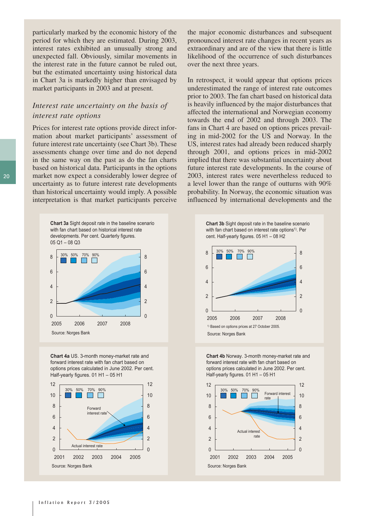particularly marked by the economic history of the period for which they are estimated. During 2003, interest rates exhibited an unusually strong and unexpected fall. Obviously, similar movements in the interest rate in the future cannot be ruled out, but the estimated uncertainty using historical data in Chart 3a is markedly higher than envisaged by market participants in 2003 and at present.

### *Interest rate uncertainty on the basis of interest rate options*

Prices for interest rate options provide direct information about market participants' assessment of future interest rate uncertainty (see Chart 3b). These assessments change over time and do not depend in the same way on the past as do the fan charts based on historical data. Participants in the options market now expect a considerably lower degree of uncertainty as to future interest rate developments than historical uncertainty would imply. A possible interpretation is that market participants perceive

> **Chart 3a** Sight deposit rate in the baseline scenario with fan chart based on historical interest rate developments. Per cent. Quarterly figures. 05 Q1 – 08 Q3



**Chart 4a** US. 3-month money-market rate and forward interest rate with fan chart based on options prices calculated in June 2002. Per cent. Half-yearly figures. 01 H1 – 05 H1



the major economic disturbances and subsequent pronounced interest rate changes in recent years as extraordinary and are of the view that there is little likelihood of the occurrence of such disturbances over the next three years.

In retrospect, it would appear that options prices underestimated the range of interest rate outcomes prior to 2003. The fan chart based on historical data is heavily influenced by the major disturbances that affected the international and Norwegian economy towards the end of 2002 and through 2003. The fans in Chart 4 are based on options prices prevailing in mid-2002 for the US and Norway. In the US, interest rates had already been reduced sharply through 2001, and options prices in mid-2002 implied that there was substantial uncertainty about future interest rate developments. In the course of 2003, interest rates were nevertheless reduced to a level lower than the range of outturns with 90% probability. In Norway, the economic situation was influenced by international developments and the



**Chart 4b** Norway. 3-month money-market rate and forward interest rate with fan chart based on options prices calculated in June 2002. Per cent. Half-yearly figures. 01 H1 – 05 H1

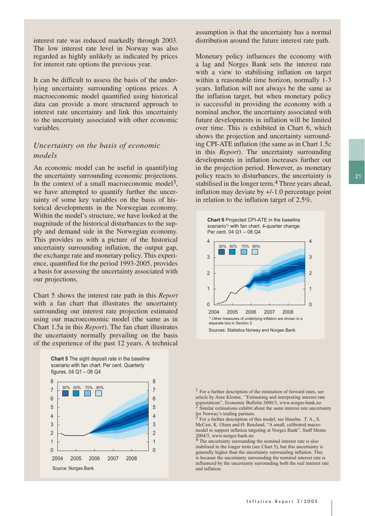interest rate was reduced markedly through 2003. The low interest rate level in Norway was also regarded as highly unlikely as indicated by prices for interest rate options the previous year.

It can be difficult to assess the basis of the underlying uncertainty surrounding options prices. A macroeconomic model quantified using historical data can provide a more structured approach to interest rate uncertainty and link this uncertainty to the uncertainty associated with other economic variables.

### *Uncertainty on the basis of economic models*

An economic model can be useful in quantifying the uncertainty surrounding economic projections. In the context of a small macroeconomic model<sup>3</sup>, we have attempted to quantify further the uncertainty of some key variables on the basis of historical developments in the Norwegian economy. Within the model's structure, we have looked at the magnitude of the historical disturbances to the supply and demand side in the Norwegian economy. This provides us with a picture of the historical uncertainty surrounding inflation, the output gap, the exchange rate and monetary policy. This experience, quantified for the period 1993-2005, provides a basis for assessing the uncertainty associated with our projections.

Chart 5 shows the interest rate path in this *Report*  with a fan chart that illustrates the uncertainty surrounding our interest rate projection estimated using our macroeconomic model (the same as in Chart 1.5a in this *Report*). The fan chart illustrates the uncertainty normally prevailing on the basis of the experience of the past 12 years. A technical



assumption is that the uncertainty has a normal distribution around the future interest rate path.

Monetary policy influences the economy with a lag and Norges Bank sets the interest rate with a view to stabilising inflation on target within a reasonable time horizon, normally 1-3 years. Inflation will not always be the same as the inflation target, but when monetary policy is successful in providing the economy with a nominal anchor, the uncertainty associated with future developments in inflation will be limited over time. This is exhibited in Chart 6, which shows the projection and uncertainty surrounding CPI-ATE inflation (the same as in Chart 1.5c in this *Report*). The uncertainty surrounding developments in inflation increases further out in the projection period. However, as monetary policy reacts to disturbances, the uncertainty is stabilised in the longer term.<sup>4</sup> Three years ahead, inflation may deviate by +/-1.0 percentage point in relation to the inflation target of 2.5%.





1 For a further description of the estimation of forward rates, see article by Arne Kloster, "Estimating and interpreting interest rate expectations", Economic Bulletin 2000/3, www.norges-bank.no  $2$  Similar estimations exhibit about the same interest rate uncertainty

for Norway's trading partners. 3 For a further description of this model, see Husebø, T. A., S. McCaw, K. Olsen and Ø. Røisland, "A small, calibrated macromodel to support inflation targeting at Norges Bank", Staff Memo 2004/3, www.norges-bank.no.

<sup>4</sup> The uncertainty surrounding the nominal interest rate is also stabilised in the longer term (see Chart 5), but this uncertainty is generally higher than the uncertainty surrounding inflation. This is because the uncertainty surrounding the nominal interest rate is influenced by the uncertainty surrounding both the real interest rate and inflation.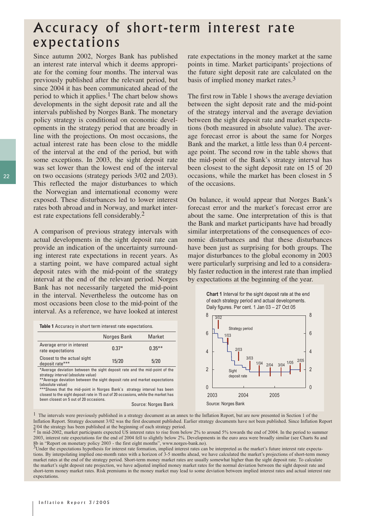## Accuracy of short-term interest rate expectations

Since autumn 2002, Norges Bank has published an interest rate interval which it deems appropriate for the coming four months. The interval was previously published after the relevant period, but since 2004 it has been communicated ahead of the period to which it applies.<sup>1</sup> The chart below shows developments in the sight deposit rate and all the intervals published by Norges Bank. The monetary policy strategy is conditional on economic developments in the strategy period that are broadly in line with the projections. On most occasions, the actual interest rate has been close to the middle of the interval at the end of the period, but with some exceptions. In 2003, the sight deposit rate was set lower than the lowest end of the interval on two occasions (strategy periods 3/02 and 2/03). This reflected the major disturbances to which the Norwegian and international economy were exposed. These disturbances led to lower interest rates both abroad and in Norway, and market interest rate expectations fell considerably.2

A comparison of previous strategy intervals with actual developments in the sight deposit rate can provide an indication of the uncertainty surrounding interest rate expectations in recent years. As a starting point, we have compared actual sight deposit rates with the mid-point of the strategy interval at the end of the relevant period. Norges Bank has not necessarily targeted the mid-point in the interval. Nevertheless the outcome has on most occasions been close to the mid-point of the interval. As a reference, we have looked at interest

**Table 1** Accuracy in short term interest rate expectations.

|                                                                            | Norges Bank | <b>Market</b> |
|----------------------------------------------------------------------------|-------------|---------------|
| Average error in interest<br>rate expectations                             | $0.37*$     | $0.35***$     |
| Closest to the actual sight<br>deposit rate***                             | 15/20       | 5/20          |
| *Average deviation between the sight deposit rate and the mid-point of the |             |               |

strategy interval (absolute value)

\*\*Average deviation between the sight deposit rate and market expectations (absolute value) \*\*\*Shows that the mid-point in Norges Bank's strategy interval has been

closest to the sight deposit rate in 15 out of 20 occasions, while the market has been closest on 5 out of 20 occasions.

Source: Norges Bank

rate expectations in the money market at the same points in time. Market participants' projections of the future sight deposit rate are calculated on the basis of implied money market rates. $3$ 

The first row in Table 1 shows the average deviation between the sight deposit rate and the mid-point of the strategy interval and the average deviation between the sight deposit rate and market expectations (both measured in absolute value). The average forecast error is about the same for Norges Bank and the market, a little less than 0.4 percentage point. The second row in the table shows that the mid-point of the Bank's strategy interval has been closest to the sight deposit rate on 15 of 20 occasions, while the market has been closest in 5 of the occasions.

On balance, it would appear that Norges Bank's forecast error and the market's forecast error are about the same. One interpretation of this is that the Bank and market participants have had broadly similar interpretations of the consequences of economic disturbances and that these disturbances have been just as surprising for both groups. The major disturbances to the global economy in 2003 were particularly surprising and led to a considerably faster reduction in the interest rate than implied by expectations at the beginning of the year.





<sup>1</sup> The intervals were previously published in a strategy document as an annex to the Inflation Report, but are now presented in Section 1 of the Inflation Report. Strategy document 3/02 was the first document published. Earlier strategy documents have not been published. Since Inflation Report

 $2/04$  the strategy has been published at the beginning of each strategy period.<br><sup>2</sup> In mid-2002, market participants expected US interest rates to rise from below 2% to around 5% towards the end of 2004. In the period to 2003, interest rate expectations for the end of 2004 fell to slightly below 2%. Developments in the euro area were broadly similar (see Charts 8a and 8b in "Report on monetary policy 2003 - the first eight months", www.norges-bank.no).

 $3$ Under the expectations hypothesis for interest rate formation, implied interest rates can be interpreted as the market's future interest rate expectations. By interpolating implied one-month rates with a horizon of 3-5 months ahead, we have calculated the market's projections of short-term money market rates at the end of the strategy period. Short-term money market rates are usually somewhat higher than the sight deposit rate. To calculate the market's sight deposit rate projection, we have adjusted implied money market rates for the normal deviation between the sight deposit rate and short-term money market rates. Risk premiums in the money market may lead to some deviation between implied interest rates and actual interest rate expectations.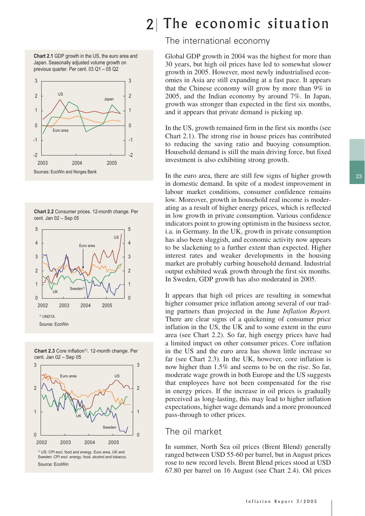**Chart 2.1** GDP growth in the US, the euro area and Japan. Seasonally adjusted volume growth on previous quarter. Per cent. 03 Q1 – 05 Q2











Source: EcoWin

## 2 The economic situation

### The international economy

Global GDP growth in 2004 was the highest for more than 30 years, but high oil prices have led to somewhat slower growth in 2005. However, most newly industrialised economies in Asia are still expanding at a fast pace. It appears that the Chinese economy will grow by more than 9% in 2005, and the Indian economy by around 7%. In Japan, growth was stronger than expected in the first six months, and it appears that private demand is picking up.

In the US, growth remained firm in the first six months (see Chart 2.1). The strong rise in house prices has contributed to reducing the saving ratio and buoying consumption. Household demand is still the main driving force, but fixed investment is also exhibiting strong growth.

In the euro area, there are still few signs of higher growth in domestic demand. In spite of a modest improvement in labour market conditions, consumer confidence remains low. Moreover, growth in household real income is moderating as a result of higher energy prices, which is reflected in low growth in private consumption. Various confidence indicators point to growing optimism in the business sector, i.a. in Germany. In the UK, growth in private consumption has also been sluggish, and economic activity now appears to be slackening to a further extent than expected. Higher interest rates and weaker developments in the housing market are probably curbing household demand. Industrial output exhibited weak growth through the first six months. In Sweden, GDP growth has also moderated in 2005.

It appears that high oil prices are resulting in somewhat higher consumer price inflation among several of our trading partners than projected in the June *Inflation Report.*  There are clear signs of a quickening of consumer price inflation in the US, the UK and to some extent in the euro area (see Chart 2.2). So far, high energy prices have had a limited impact on other consumer prices. Core inflation in the US and the euro area has shown little increase so far (see Chart 2.3). In the UK, however, core inflation is now higher than 1.5% and seems to be on the rise. So far, moderate wage growth in both Europe and the US suggests that employees have not been compensated for the rise in energy prices. If the increase in oil prices is gradually perceived as long-lasting, this may lead to higher inflation expectations, higher wage demands and a more pronounced pass-through to other prices.

### The oil market

In summer, North Sea oil prices (Brent Blend) generally ranged between USD 55-60 per barrel, but in August prices rose to new record levels. Brent Blend prices stood at USD 67.80 per barrel on 16 August (see Chart 2.4). Oil prices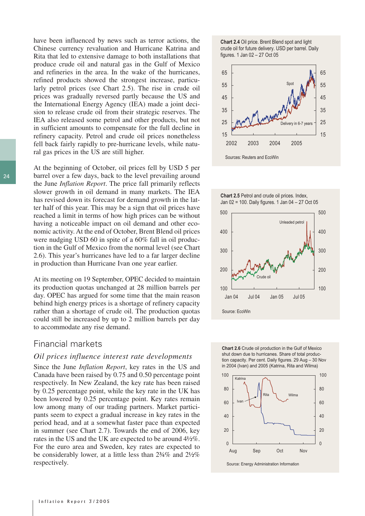have been influenced by news such as terror actions, the Chinese currency revaluation and Hurricane Katrina and Rita that led to extensive damage to both installations that produce crude oil and natural gas in the Gulf of Mexico and refineries in the area. In the wake of the hurricanes, refined products showed the strongest increase, particularly petrol prices (see Chart 2.5). The rise in crude oil prices was gradually reversed partly because the US and the International Energy Agency (IEA) made a joint decision to release crude oil from their strategic reserves. The IEA also released some petrol and other products, but not in sufficient amounts to compensate for the full decline in refinery capacity. Petrol and crude oil prices nonetheless fell back fairly rapidly to pre-hurricane levels, while natural gas prices in the US are still higher.

At the beginning of October, oil prices fell by USD 5 per barrel over a few days, back to the level prevailing around the June *Inflation Report*. The price fall primarily reflects slower growth in oil demand in many markets. The IEA has revised down its forecast for demand growth in the latter half of this year. This may be a sign that oil prices have reached a limit in terms of how high prices can be without having a noticeable impact on oil demand and other economic activity. At the end of October, Brent Blend oil prices were nudging USD 60 in spite of a 60% fall in oil production in the Gulf of Mexico from the normal level (see Chart 2.6). This year's hurricanes have led to a far larger decline in production than Hurricane Ivan one year earlier.

At its meeting on 19 September, OPEC decided to maintain its production quotas unchanged at 28 million barrels per day. OPEC has argued for some time that the main reason behind high energy prices is a shortage of refinery capacity rather than a shortage of crude oil. The production quotas could still be increased by up to 2 million barrels per day to accommodate any rise demand.

#### Financial markets

#### *Oil prices influence interest rate developments*

Since the June *Inflation Report*, key rates in the US and Canada have been raised by 0.75 and 0.50 percentage point respectively. In New Zealand, the key rate has been raised by 0.25 percentage point, while the key rate in the UK has been lowered by 0.25 percentage point. Key rates remain low among many of our trading partners. Market participants seem to expect a gradual increase in key rates in the period head, and at a somewhat faster pace than expected in summer (see Chart 2.7). Towards the end of 2006, key rates in the US and the UK are expected to be around 4½%. For the euro area and Sweden, key rates are expected to be considerably lower, at a little less than 2¾% and 2½% respectively.













Source: Energy Administration Information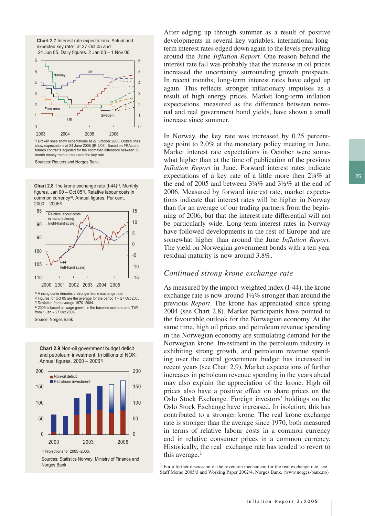



**Chart 2.8** The krone exchange rate (I-44)<sup>1)</sup>. Monthly figures. Jan  $00 - Oct 05<sup>2</sup>$ . Relative labour costs in common currency<sup>3)</sup>. Annual figures. Per cent.  $2000 - 20054$ 



<sup>2)</sup> Figures for Oct 05 are the average for the period  $1 - 27$  Oct 2005.

3) Deviation from average 1970 -2004.

4) 2005 is based on wage growth in the baseline scenario and TWI from 1 Jan – 27 Oct 2005.

Source: Norges Bank

**Chart 2.9** Non-oil government budget deficit and petroleum investment. In billions of NOK. Annual figures. 2000 – 20061)



<sup>1)</sup> Projections for 2005 -2006.

Sources: Statistics Norway, Ministry of Finance and Norges Bank

After edging up through summer as a result of positive developments in several key variables, international longterm interest rates edged down again to the levels prevailing around the June *Inflation Report.* One reason behind the interest rate fall was probably that the increase in oil prices increased the uncertainty surrounding growth prospects. In recent months, long-term interest rates have edged up again. This reflects stronger inflationary impulses as a result of high energy prices. Market long-term inflation expectations, measured as the difference between nominal and real government bond yields, have shown a small increase since summer.

In Norway, the key rate was increased by 0.25 percentage point to 2.0% at the monetary policy meeting in June. Market interest rate expectations in October were somewhat higher than at the time of publication of the previous *Inflation Report* in June. Forward interest rates indicate expectations of a key rate of a little more then 2¼% at the end of 2005 and between 3¼% and 3½% at the end of 2006. Measured by forward interest rate, market expectations indicate that interest rates will be higher in Norway than for an average of our trading partners from the beginning of 2006, but that the interest rate differential will not be particularly wide. Long-term interest rates in Norway have followed developments in the rest of Europe and are somewhat higher than around the June *Inflation Report.* The yield on Norwegian government bonds with a ten-year residual maturity is now around 3.8%.

#### *Continued strong krone exchange rate*

As measured by the import-weighted index (I-44), the krone exchange rate is now around  $1\frac{1}{2}\%$  stronger than around the previous *Report*. The krone has appreciated since spring 2004 (see Chart 2.8). Market participants have pointed to the favourable outlook for the Norwegian economy. At the same time, high oil prices and petroleum revenue spending in the Norwegian economy are stimulating demand for the Norwegian krone. Investment in the petroleum industry is exhibiting strong growth, and petroleum revenue spending over the central government budget has increased in recent years (see Chart 2.9). Market expectations of further increases in petroleum revenue spending in the years ahead may also explain the appreciation of the krone. High oil prices also have a positive effect on share prices on the Oslo Stock Exchange. Foreign investors' holdings on the Oslo Stock Exchange have increased. In isolation, this has contributed to a stronger krone. The real krone exchange rate is stronger than the average since 1970, both measured in terms of relative labour costs in a common currency and in relative consumer prices in a common currency. Historically, the real exchange rate has tended to revert to this average. $<sup>1</sup>$ </sup>

<sup>1</sup> For a further discussion of the reversion mechanism for the real exchange rate, see Staff Memo 2005/3 and Working Paper 2002/4, Norges Bank. (www.norges-bank.no)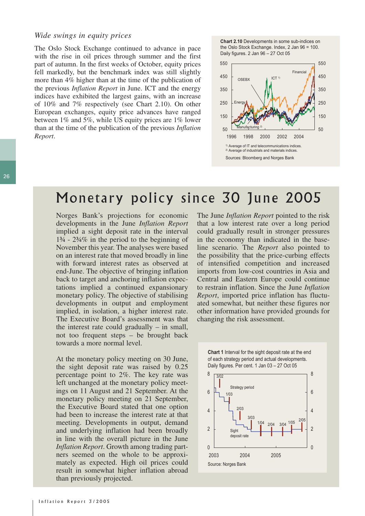#### *Wide swings in equity prices*

The Oslo Stock Exchange continued to advance in pace with the rise in oil prices through summer and the first part of autumn. In the first weeks of October, equity prices fell markedly, but the benchmark index was still slightly more than 4% higher than at the time of the publication of the previous *Inflation Report* in June. ICT and the energy indices have exhibited the largest gains, with an increase of 10% and 7% respectively (see Chart 2.10). On other European exchanges, equity price advances have ranged between 1% and 5%, while US equity prices are 1% lower than at the time of the publication of the previous *Inflation Report*.





## Monetary policy since 30 June 2005

Norges Bank's projections for economic developments in the June *Inflation Report* implied a sight deposit rate in the interval 1¾ - 2¾% in the period to the beginning of November this year. The analyses were based on an interest rate that moved broadly in line with forward interest rates as observed at end-June. The objective of bringing inflation back to target and anchoring inflation expectations implied a continued expansionary monetary policy. The objective of stabilising developments in output and employment implied, in isolation, a higher interest rate. The Executive Board's assessment was that the interest rate could gradually – in small, not too frequent steps – be brought back towards a more normal level.

At the monetary policy meeting on 30 June, the sight deposit rate was raised by 0.25 percentage point to 2%. The key rate was left unchanged at the monetary policy meetings on 11 August and 21 September. At the monetary policy meeting on 21 September, the Executive Board stated that one option had been to increase the interest rate at that meeting. Developments in output, demand and underlying inflation had been broadly in line with the overall picture in the June *Inflation Report*. Growth among trading partners seemed on the whole to be approximately as expected. High oil prices could result in somewhat higher inflation abroad than previously projected.

The June *Inflation Report* pointed to the risk that a low interest rate over a long period could gradually result in stronger pressures in the economy than indicated in the baseline scenario. The *Report* also pointed to the possibility that the price-curbing effects of intensified competition and increased imports from low-cost countries in Asia and Central and Eastern Europe could continue to restrain inflation. Since the June *Inflation Report*, imported price inflation has fluctuated somewhat, but neither these figures nor other information have provided grounds for changing the risk assessment.



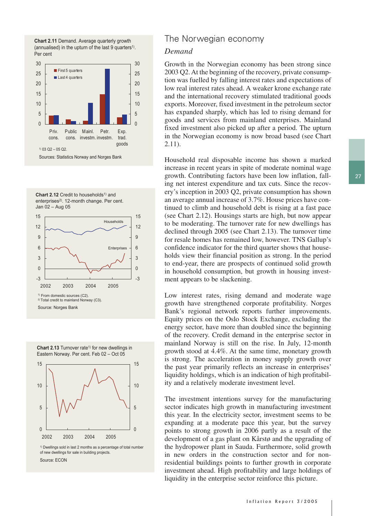











<sup>1)</sup> Dwellings sold in last 2 months as a percentage of total number of new dwellings for sale in building projects. Source: ECON

### The Norwegian economy

#### *Demand*

Growth in the Norwegian economy has been strong since 2003 Q2. At the beginning of the recovery, private consumption was fuelled by falling interest rates and expectations of low real interest rates ahead. A weaker krone exchange rate and the international recovery stimulated traditional goods exports. Moreover, fixed investment in the petroleum sector has expanded sharply, which has led to rising demand for goods and services from mainland enterprises. Mainland fixed investment also picked up after a period. The upturn in the Norwegian economy is now broad based (see Chart 2.11).

Household real disposable income has shown a marked increase in recent years in spite of moderate nominal wage growth. Contributing factors have been low inflation, falling net interest expenditure and tax cuts. Since the recovery's inception in 2003 Q2, private consumption has shown an average annual increase of 3.7%. House prices have continued to climb and household debt is rising at a fast pace (see Chart 2.12). Housings starts are high, but now appear to be moderating. The turnover rate for new dwellings has declined through 2005 (see Chart 2.13). The turnover time for resale homes has remained low, however. TNS Gallup's confidence indicator for the third quarter shows that households view their financial position as strong. In the period to end-year, there are prospects of continued solid growth in household consumption, but growth in housing investment appears to be slackening.

Low interest rates, rising demand and moderate wage growth have strengthened corporate profitability. Norges Bank's regional network reports further improvements. Equity prices on the Oslo Stock Exchange, excluding the energy sector, have more than doubled since the beginning of the recovery. Credit demand in the enterprise sector in mainland Norway is still on the rise. In July, 12-month growth stood at 4.4%. At the same time, monetary growth is strong. The acceleration in money supply growth over the past year primarily reflects an increase in enterprises' liquidity holdings, which is an indication of high profitability and a relatively moderate investment level.

The investment intentions survey for the manufacturing sector indicates high growth in manufacturing investment this year. In the electricity sector, investment seems to be expanding at a moderate pace this year, but the survey points to strong growth in 2006 partly as a result of the development of a gas plant on Kårstø and the upgrading of the hydropower plant in Sauda. Furthermore, solid growth in new orders in the construction sector and for nonresidential buildings points to further growth in corporate investment ahead. High profitability and large holdings of liquidity in the enterprise sector reinforce this picture.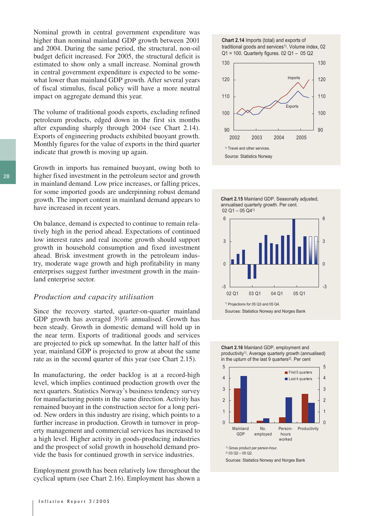Nominal growth in central government expenditure was higher than nominal mainland GDP growth between 2001 and 2004. During the same period, the structural, non-oil budget deficit increased. For 2005, the structural deficit is estimated to show only a small increase. Nominal growth in central government expenditure is expected to be somewhat lower than mainland GDP growth. After several years of fiscal stimulus, fiscal policy will have a more neutral impact on aggregate demand this year.

The volume of traditional goods exports, excluding refined petroleum products, edged down in the first six months after expanding sharply through 2004 (see Chart 2.14). Exports of engineering products exhibited buoyant growth. Monthly figures for the value of exports in the third quarter indicate that growth is moving up again.

Growth in imports has remained buoyant, owing both to higher fixed investment in the petroleum sector and growth in mainland demand. Low price increases, or falling prices, for some imported goods are underpinning robust demand growth. The import content in mainland demand appears to have increased in recent years.

On balance, demand is expected to continue to remain relatively high in the period ahead. Expectations of continued low interest rates and real income growth should support growth in household consumption and fixed investment ahead. Brisk investment growth in the petroleum industry, moderate wage growth and high profitability in many enterprises suggest further investment growth in the mainland enterprise sector.

#### *Production and capacity utilisation*

Since the recovery started, quarter-on-quarter mainland GDP growth has averaged 3½% annualised. Growth has been steady. Growth in domestic demand will hold up in the near term. Exports of traditional goods and services are projected to pick up somewhat. In the latter half of this year, mainland GDP is projected to grow at about the same rate as in the second quarter of this year (see Chart 2.15).

In manufacturing, the order backlog is at a record-high level, which implies continued production growth over the next quarters. Statistics Norway's business tendency survey for manufacturing points in the same direction. Activity has remained buoyant in the construction sector for a long period. New orders in this industry are rising, which points to a further increase in production. Growth in turnover in property management and commercial services has increased to a high level. Higher activity in goods-producing industries and the prospect of solid growth in household demand provide the basis for continued growth in service industries.

Employment growth has been relatively low throughout the cyclical upturn (see Chart 2.16). Employment has shown a









**Chart 2.16** Mainland GDP, employment and productivity<sup>1)</sup>. Average quarterly growth (annualised) in the upturn of the last  $9$  quarters<sup>2)</sup>. Per cent

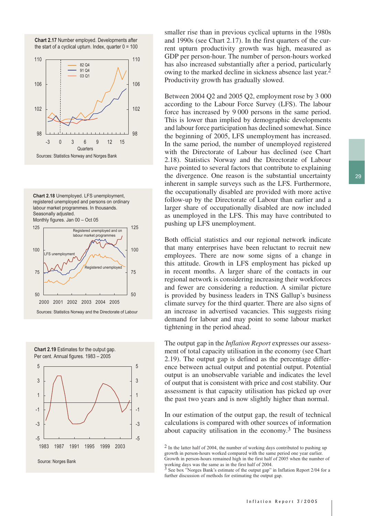**Chart 2.17** Number employed. Developments after the start of a cyclical upturn. Index, quarter  $0 = 100$ 



**Chart 2.18** Unemployed. LFS unemployment, registered unemployed and persons on ordinary labour market programmes. In thousands. Seasonally adjusted. Monthly figures. Jan 00 – Oct 05









smaller rise than in previous cyclical upturns in the 1980s and 1990s (see Chart 2.17). In the first quarters of the current upturn productivity growth was high, measured as GDP per person-hour. The number of person-hours worked has also increased substantially after a period, particularly owing to the marked decline in sickness absence last year.2 Productivity growth has gradually slowed.

Between 2004 Q2 and 2005 Q2, employment rose by 3 000 according to the Labour Force Survey (LFS). The labour force has increased by 9 000 persons in the same period. This is lower than implied by demographic developments and labour force participation has declined somewhat. Since the beginning of 2005, LFS unemployment has increased. In the same period, the number of unemployed registered with the Directorate of Labour has declined (see Chart 2.18). Statistics Norway and the Directorate of Labour have pointed to several factors that contribute to explaining the divergence. One reason is the substantial uncertainty inherent in sample surveys such as the LFS. Furthermore, the occupationally disabled are provided with more active follow-up by the Directorate of Labour than earlier and a larger share of occupationally disabled are now included as unemployed in the LFS. This may have contributed to pushing up LFS unemployment.

Both official statistics and our regional network indicate that many enterprises have been reluctant to recruit new employees. There are now some signs of a change in this attitude. Growth in LFS employment has picked up in recent months. A larger share of the contacts in our regional network is considering increasing their workforces and fewer are considering a reduction. A similar picture is provided by business leaders in TNS Gallup's business climate survey for the third quarter. There are also signs of an increase in advertised vacancies. This suggests rising demand for labour and may point to some labour market tightening in the period ahead.

The output gap in the *Inflation Report* expresses our assessment of total capacity utilisation in the economy (see Chart 2.19). The output gap is defined as the percentage difference between actual output and potential output. Potential output is an unobservable variable and indicates the level of output that is consistent with price and cost stability. Our assessment is that capacity utilisation has picked up over the past two years and is now slightly higher than normal.

In our estimation of the output gap, the result of technical calculations is compared with other sources of information about capacity utilisation in the economy.<sup>3</sup> The business

<sup>2</sup> In the latter half of 2004, the number of working days contributed to pushing up growth in person-hours worked compared with the same period one year earlier. Growth in person-hours remained high in the first half of 2005 when the number of

working days was the same as in the first half of 2004. 3 See box "Norges Bank's estimate of the output gap" in Inflation Report 2/04 for a further discussion of methods for estimating the output gap.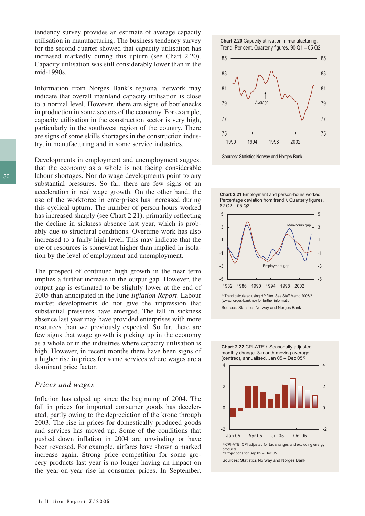tendency survey provides an estimate of average capacity utilisation in manufacturing. The business tendency survey for the second quarter showed that capacity utilisation has increased markedly during this upturn (see Chart 2.20). Capacity utilisation was still considerably lower than in the mid-1990s.

Information from Norges Bank's regional network may indicate that overall mainland capacity utilisation is close to a normal level. However, there are signs of bottlenecks in production in some sectors of the economy. For example, capacity utilisation in the construction sector is very high, particularly in the southwest region of the country. There are signs of some skills shortages in the construction industry, in manufacturing and in some service industries.

Developments in employment and unemployment suggest that the economy as a whole is not facing considerable labour shortages. Nor do wage developments point to any substantial pressures. So far, there are few signs of an acceleration in real wage growth. On the other hand, the use of the workforce in enterprises has increased during this cyclical upturn. The number of person-hours worked has increased sharply (see Chart 2.21), primarily reflecting the decline in sickness absence last year, which is probably due to structural conditions. Overtime work has also increased to a fairly high level. This may indicate that the use of resources is somewhat higher than implied in isolation by the level of employment and unemployment.

The prospect of continued high growth in the near term implies a further increase in the output gap. However, the output gap is estimated to be slightly lower at the end of 2005 than anticipated in the June *Inflation Report*. Labour market developments do not give the impression that substantial pressures have emerged. The fall in sickness absence last year may have provided enterprises with more resources than we previously expected. So far, there are few signs that wage growth is picking up in the economy as a whole or in the industries where capacity utilisation is high. However, in recent months there have been signs of a higher rise in prices for some services where wages are a dominant price factor.

#### *Prices and wages*

Inflation has edged up since the beginning of 2004. The fall in prices for imported consumer goods has decelerated, partly owing to the depreciation of the krone through 2003. The rise in prices for domestically produced goods and services has moved up. Some of the conditions that pushed down inflation in 2004 are unwinding or have been reversed. For example, airfares have shown a marked increase again. Strong price competition for some grocery products last year is no longer having an impact on the year-on-year rise in consumer prices. In September,





**Chart 2.21** Employment and person-hours worked. Percentage deviation from trend<sup>1)</sup>. Quarterly figures. 82 Q2 – 05 Q2





**Chart 2.22** CPI-ATE1). Seasonally adjusted monthly change. 3-month moving average (centred), annualised. Jan 05 – Dec 052)



Sources: Statistics Norway and Norges Bank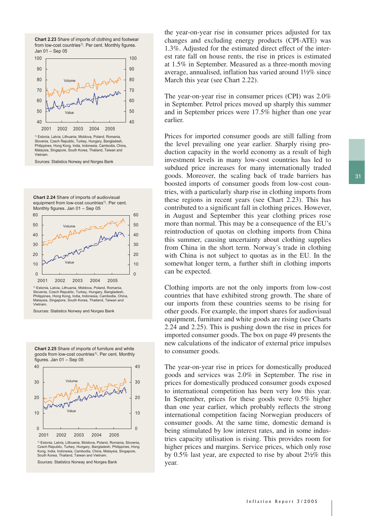



<sup>1)</sup> Estonia, Latvia, Lithuania, Moldova, Poland, Romania Slovenia, Czech Republic, Turkey, Hungary, Bangladesh, Philippines, Hong Kong, India, Indonesia, Cambodia, China, Malaysia, Singapore, South Korea, Thailand, Taiwan and Vietnam.

Sources: Statistics Norway and Norges Bank

**Chart 2.24** Share of imports of audiovisual equipment from low-cost countries<sup>1)</sup>. Per cent. Monthly figures. Jan 01 – Sep 05



Slovenia, Czech Republic, Turkey, Hungary, Bangladesh, Philippines, Hong Kong, India, Indonesia, Cambodia, China, Malaysia, Singapore, South Korea, Thailand, Taiwan and Vietnam.

Sources: Statistics Norway and Norges Bank





1) Estonia, Latvia, Lithuania, Moldova, Poland, Romania, Slovenia, Czech Republic, Turkey, Hungary, Bangladesh, Philippines, Hong Kong, India, Indonesia, Cambodia, China, Malaysia, Singapore, South Korea, Thailand, Taiwan and Vietnam

Sources: Statistics Norway and Norges Bank

the year-on-year rise in consumer prices adjusted for tax changes and excluding energy products (CPI-ATE) was 1.3%. Adjusted for the estimated direct effect of the interest rate fall on house rents, the rise in prices is estimated at 1.5% in September. Measured as a three-month moving average, annualised, inflation has varied around 1½% since March this year (see Chart 2.22).

The year-on-year rise in consumer prices (CPI) was 2.0% in September. Petrol prices moved up sharply this summer and in September prices were 17.5% higher than one year earlier.

Prices for imported consumer goods are still falling from the level prevailing one year earlier. Sharply rising production capacity in the world economy as a result of high investment levels in many low-cost countries has led to subdued price increases for many internationally traded goods. Moreover, the scaling back of trade barriers has boosted imports of consumer goods from low-cost countries, with a particularly sharp rise in clothing imports from these regions in recent years (see Chart 2.23). This has contributed to a significant fall in clothing prices. However, in August and September this year clothing prices rose more than normal. This may be a consequence of the EU's reintroduction of quotas on clothing imports from China this summer, causing uncertainty about clothing supplies from China in the short term. Norway's trade in clothing with China is not subject to quotas as in the EU. In the somewhat longer term, a further shift in clothing imports can be expected.

Clothing imports are not the only imports from low-cost countries that have exhibited strong growth. The share of our imports from these countries seems to be rising for other goods. For example, the import shares for audiovisual equipment, furniture and white goods are rising (see Charts 2.24 and 2.25). This is pushing down the rise in prices for imported consumer goods. The box on page 49 presents the new calculations of the indicator of external price impulses to consumer goods.

The year-on-year rise in prices for domestically produced goods and services was 2.0% in September. The rise in prices for domestically produced consumer goods exposed to international competition has been very low this year. In September, prices for these goods were 0.5% higher than one year earlier, which probably reflects the strong international competition facing Norwegian producers of consumer goods. At the same time, domestic demand is being stimulated by low interest rates, and in some industries capacity utilisation is rising. This provides room for higher prices and margins. Service prices, which only rose by 0.5% last year, are expected to rise by about 2½% this year.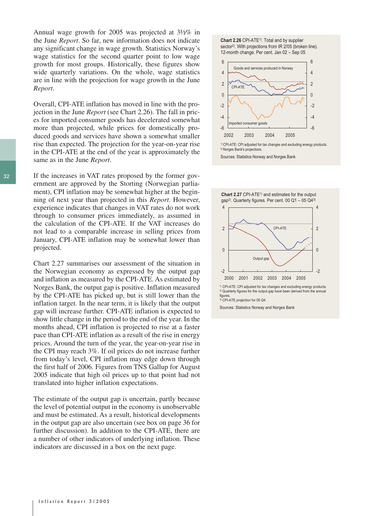Annual wage growth for 2005 was projected at 3½% in the June *Report*. So far, new information does not indicate any significant change in wage growth. Statistics Norway's wage statistics for the second quarter point to low wage growth for most groups. Historically, these figures show wide quarterly variations. On the whole, wage statistics are in line with the projection for wage growth in the June *Report*.

Overall, CPI-ATE inflation has moved in line with the projection in the June *Report* (see Chart 2.26). The fall in prices for imported consumer goods has decelerated somewhat more than projected, while prices for domestically produced goods and services have shown a somewhat smaller rise than expected. The projection for the year-on-year rise in the CPI-ATE at the end of the year is approximately the same as in the June *Report*.

If the increases in VAT rates proposed by the former government are approved by the Storting (Norwegian parliament), CPI inflation may be somewhat higher at the beginning of next year than projected in this *Report*. However, experience indicates that changes in VAT rates do not work through to consumer prices immediately, as assumed in the calculation of the CPI-ATE. If the VAT increases do not lead to a comparable increase in selling prices from January, CPI-ATE inflation may be somewhat lower than projected.

Chart 2.27 summarises our assessment of the situation in the Norwegian economy as expressed by the output gap and inflation as measured by the CPI-ATE. As estimated by Norges Bank, the output gap is positive. Inflation measured by the CPI-ATE has picked up, but is still lower than the inflation target. In the near term, it is likely that the output gap will increase further. CPI-ATE inflation is expected to show little change in the period to the end of the year. In the months ahead, CPI inflation is projected to rise at a faster pace than CPI-ATE inflation as a result of the rise in energy prices. Around the turn of the year, the year-on-year rise in the CPI may reach 3%. If oil prices do not increase further from today's level, CPI inflation may edge down through the first half of 2006. Figures from TNS Gallup for August 2005 indicate that high oil prices up to that point had not translated into higher inflation expectations.

The estimate of the output gap is uncertain, partly because the level of potential output in the economy is unobservable and must be estimated. As a result, historical developments in the output gap are also uncertain (see box on page 36 for further discussion). In addition to the CPI-ATE, there are a number of other indicators of underlying inflation. These indicators are discussed in a box on the next page.





<sup>1)</sup>CPI-ATE: CPI adjusted for tax changes and excluding energy products. 2)Norges Bank's projections.

Sources: Statistics Norway and Norges Bank





1) CPI-ATE: CPI adjusted for tax changes and excluding energy products. 2) Quarterly figures for the output gap have been derived from the annual figures. 3) CPI-ATE projection for 05 Q4.

Sources: Statistics Norway and Norges Bank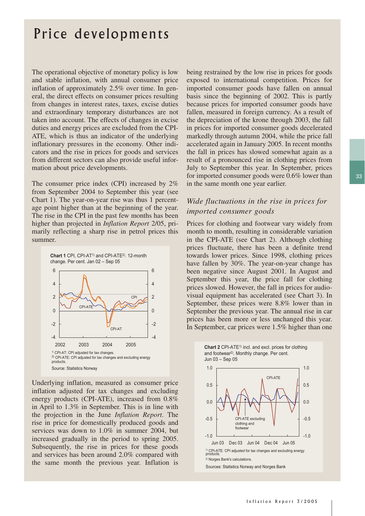## Price developments

The operational objective of monetary policy is low and stable inflation, with annual consumer price inflation of approximately 2.5% over time. In general, the direct effects on consumer prices resulting from changes in interest rates, taxes, excise duties and extraordinary temporary disturbances are not taken into account. The effects of changes in excise duties and energy prices are excluded from the CPI-ATE, which is thus an indicator of the underlying inflationary pressures in the economy. Other indicators and the rise in prices for goods and services from different sectors can also provide useful information about price developments.

The consumer price index (CPI) increased by 2% from September 2004 to September this year (see Chart 1). The year-on-year rise was thus 1 percentage point higher than at the beginning of the year. The rise in the CPI in the past few months has been higher than projected in *Inflation Report* 2/05, primarily reflecting a sharp rise in petrol prices this summer.



Underlying inflation, measured as consumer price inflation adjusted for tax changes and excluding energy products (CPI-ATE), increased from 0.8% in April to 1.3% in September. This is in line with the projection in the June *Inflation Report*. The rise in price for domestically produced goods and services was down to 1.0% in summer 2004, but increased gradually in the period to spring 2005. Subsequently, the rise in prices for these goods and services has been around 2.0% compared with the same month the previous year. Inflation is

being restrained by the low rise in prices for goods exposed to international competition. Prices for imported consumer goods have fallen on annual basis since the beginning of 2002. This is partly because prices for imported consumer goods have fallen, measured in foreign currency. As a result of the depreciation of the krone through 2003, the fall in prices for imported consumer goods decelerated markedly through autumn 2004, while the price fall accelerated again in January 2005. In recent months the fall in prices has slowed somewhat again as a result of a pronounced rise in clothing prices from July to September this year. In September, prices for imported consumer goods were 0.6% lower than in the same month one year earlier.

### *Wide fluctuations in the rise in prices for imported consumer goods*

Prices for clothing and footwear vary widely from month to month, resulting in considerable variation in the CPI-ATE (see Chart 2). Although clothing prices fluctuate, there has been a definite trend towards lower prices. Since 1998, clothing prices have fallen by 30%. The year-on-year change has been negative since August 2001. In August and September this year, the price fall for clothing prices slowed. However, the fall in prices for audiovisual equipment has accelerated (see Chart 3). In September, these prices were 8.8% lower than in September the previous year. The annual rise in car prices has been more or less unchanged this year. In September, car prices were 1.5% higher than one

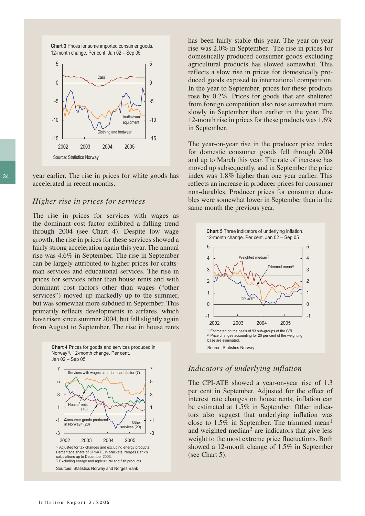**Chart 3** Prices for some imported consumer goods. 12-month change. Per cent. Jan 02 – Sep 05



year earlier. The rise in prices for white goods has accelerated in recent months.

#### *Higher rise in prices for services*

The rise in prices for services with wages as the dominant cost factor exhibited a falling trend through 2004 (see Chart 4). Despite low wage growth, the rise in prices for these services showed a fairly strong acceleration again this year. The annual rise was 4.6% in September. The rise in September can be largely attributed to higher prices for craftsman services and educational services. The rise in prices for services other than house rents and with dominant cost factors other than wages ("other services") moved up markedly up to the summer, but was somewhat more subdued in September. This primarily reflects developments in airfares, which have risen since summer 2004, but fell slightly again from August to September. The rise in house rents



has been fairly stable this year. The year-on-year rise was 2.0% in September. The rise in prices for domestically produced consumer goods excluding agricultural products has slowed somewhat. This reflects a slow rise in prices for domestically produced goods exposed to international competition. In the year to September, prices for these products rose by 0.2%. Prices for goods that are sheltered from foreign competition also rose somewhat more slowly in September than earlier in the year. The 12-month rise in prices for these products was 1.6% in September.

The year-on-year rise in the producer price index for domestic consumer goods fell through 2004 and up to March this year. The rate of increase has moved up subsequently, and in September the price index was 1.8% higher than one year earlier. This reflects an increase in producer prices for consumer non-durables. Producer prices for consumer durables were somewhat lower in September than in the same month the previous year.



#### *Indicators of underlying inflation*

The CPI-ATE showed a year-on-year rise of 1.3 per cent in September. Adjusted for the effect of interest rate changes on house rents, inflation can be estimated at 1.5% in September. Other indicators also suggest that underlying inflation was close to 1.5% in September. The trimmed mean<sup>1</sup> and weighted median<sup>2</sup> are indicators that give less weight to the most extreme price fluctuations. Both showed a 12-month change of 1.5% in September (see Chart 5).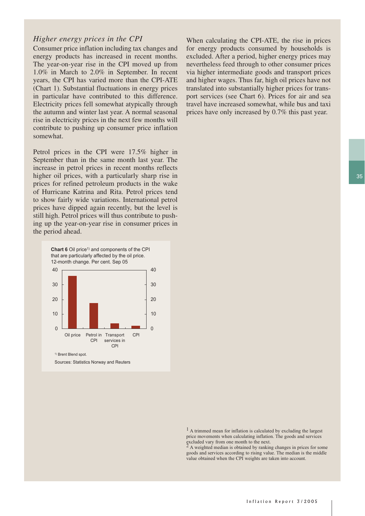### *Higher energy prices in the CPI*

Consumer price inflation including tax changes and energy products has increased in recent months. The year-on-year rise in the CPI moved up from 1.0% in March to 2.0% in September. In recent years, the CPI has varied more than the CPI-ATE (Chart 1). Substantial fluctuations in energy prices in particular have contributed to this difference. Electricity prices fell somewhat atypically through the autumn and winter last year. A normal seasonal rise in electricity prices in the next few months will contribute to pushing up consumer price inflation somewhat.

Petrol prices in the CPI were 17.5% higher in September than in the same month last year. The increase in petrol prices in recent months reflects higher oil prices, with a particularly sharp rise in prices for refined petroleum products in the wake of Hurricane Katrina and Rita. Petrol prices tend to show fairly wide variations. International petrol prices have dipped again recently, but the level is still high. Petrol prices will thus contribute to pushing up the year-on-year rise in consumer prices in the period ahead.



When calculating the CPI-ATE, the rise in prices for energy products consumed by households is excluded. After a period, higher energy prices may nevertheless feed through to other consumer prices via higher intermediate goods and transport prices and higher wages. Thus far, high oil prices have not translated into substantially higher prices for transport services (see Chart 6). Prices for air and sea travel have increased somewhat, while bus and taxi prices have only increased by 0.7% this past year.

<sup>1</sup> A trimmed mean for inflation is calculated by excluding the largest price movements when calculating inflation. The goods and services excluded vary from one month to the next. 2 A weighted median is obtained by ranking changes in prices for some

goods and services according to rising value. The median is the middle value obtained when the CPI weights are taken into account.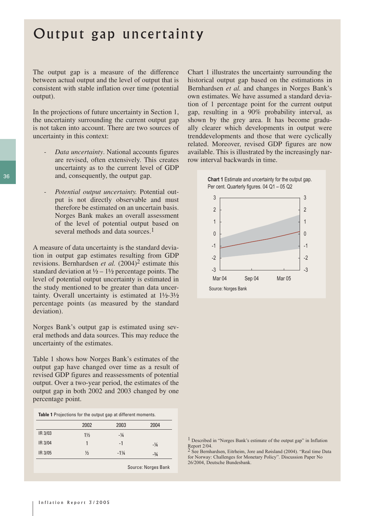## Output gap uncertainty

The output gap is a measure of the difference between actual output and the level of output that is consistent with stable inflation over time (potential output).

In the projections of future uncertainty in Section 1, the uncertainty surrounding the current output gap is not taken into account. There are two sources of uncertainty in this context:

- *Data uncertainty*. National accounts figures are revised, often extensively. This creates uncertainty as to the current level of GDP and, consequently, the output gap.
- *Potential output uncertainty.* Potential output is not directly observable and must therefore be estimated on an uncertain basis. Norges Bank makes an overall assessment of the level of potential output based on several methods and data sources.<sup>1</sup>

A measure of data uncertainty is the standard deviation in output gap estimates resulting from GDP revisions. Bernhardsen *et al.* (2004)<sup>2</sup> estimate this standard deviation at  $\frac{1}{2} - \frac{1}{2}$  percentage points. The level of potential output uncertainty is estimated in the study mentioned to be greater than data uncertainty. Overall uncertainty is estimated at 1½-3½ percentage points (as measured by the standard deviation).

Norges Bank's output gap is estimated using several methods and data sources. This may reduce the uncertainty of the estimates.

Table 1 shows how Norges Bank's estimates of the output gap have changed over time as a result of revised GDP figures and reassessments of potential output. Over a two-year period, the estimates of the output gap in both 2002 and 2003 changed by one percentage point.

|  | Table 1 Projections for the output gap at different moments. |  |  |  |  |
|--|--------------------------------------------------------------|--|--|--|--|
|--|--------------------------------------------------------------|--|--|--|--|

|         | 2002           | 2003            | 2004   |
|---------|----------------|-----------------|--------|
| IR 3/03 | $1\frac{1}{2}$ | $-1/4$          |        |
| IR 3/04 |                | -1              | $-1/4$ |
| IR 3/05 | $\frac{1}{2}$  | $-1\frac{1}{4}$ | $-3/4$ |

Source: Norges Bank

Chart 1 illustrates the uncertainty surrounding the historical output gap based on the estimations in Bernhardsen *et al.* and changes in Norges Bank's own estimates. We have assumed a standard deviation of 1 percentage point for the current output gap, resulting in a 90% probability interval, as shown by the grey area. It has become gradually clearer which developments in output were trenddevelopments and those that were cyclically related. Moreover, revised GDP figures are now available. This is illustrated by the increasingly narrow interval backwards in time.





See Bernhardsen, Eitrheim, Jore and Røisland (2004). "Real time Data for Norway: Challenges for Monetary Policy". Discussion Paper No 26/2004, Deutsche Bundesbank.

<sup>1</sup> Described in "Norges Bank's estimate of the output gap" in Inflation Report 2/04.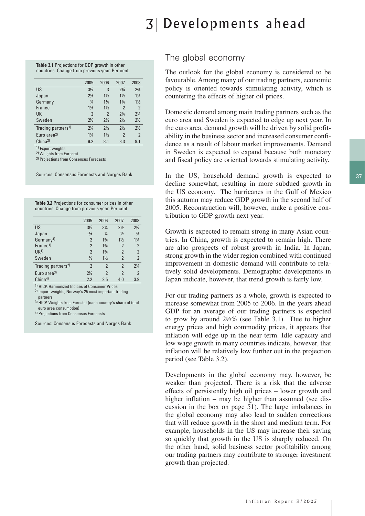**Table 3.1** Projections for GDP growth in other countries. Change from previous year. Per cent

| $2^{3}/4$<br>$2^{3}/4$           |
|----------------------------------|
|                                  |
| $1\frac{1}{4}$<br>$1\frac{1}{2}$ |
| $1\frac{1}{2}$<br>$1\frac{1}{4}$ |
| $\overline{2}$<br>$\overline{2}$ |
| $2\frac{1}{4}$<br>$2\frac{1}{4}$ |
| $2\frac{1}{2}$<br>$2\frac{1}{2}$ |
| $2\frac{1}{2}$<br>$2\frac{1}{2}$ |
| 2<br>$\overline{2}$              |
| 8.3<br>9.1                       |
|                                  |

<sup>1)</sup> Export weights 2) Weights from Eurostat

3) Projections from Consensus Forecasts

Sources: Consensus Forecasts and Norges Bank

**Table 3.2** Projections for consumer prices in other countries. Change from previous year. Per cent

|                                | 2005           | 2006           | 2007           | 2008           |
|--------------------------------|----------------|----------------|----------------|----------------|
| US                             | $3\frac{1}{2}$ | $3\frac{1}{4}$ | $2\frac{1}{2}$ | $2\frac{1}{2}$ |
| Japan                          | $-1/4$         | $\frac{1}{4}$  | $\frac{1}{2}$  | $\frac{3}{4}$  |
| Germany <sup>1)</sup>          | $\overline{2}$ | $1\frac{3}{4}$ | $1\frac{1}{2}$ | $1\frac{3}{4}$ |
| France <sup>1)</sup>           | $\overline{2}$ | $1\frac{3}{4}$ | $\overline{2}$ | $\overline{2}$ |
| UK <sup>1</sup>                | $\overline{2}$ | $1\frac{3}{4}$ | $\overline{2}$ | $\overline{2}$ |
| Sweden                         | $\frac{1}{2}$  | $1\frac{1}{2}$ | $\overline{2}$ | $\mathfrak{p}$ |
| Trading partners <sup>2)</sup> | $\overline{2}$ | $\overline{2}$ | $\overline{2}$ | $2\frac{1}{4}$ |
| Euro area <sup>3)</sup>        | $2\frac{1}{4}$ | $\overline{2}$ | $\overline{2}$ | $\overline{2}$ |
| China <sup>4</sup>             | 2.2            | 2.5            | 4.0            | 3.9            |

1) HICP, Harmonized Indices of Consumer Prices

2) Import weights, Norway`s 25 most important trading partners

3) HICP. Weights from Eurostat (each country`s share of total euro area consumption)

4) Projections from Consensus Forecasts

Sources: Consensus Forecasts and Norges Bank

## The global economy

The outlook for the global economy is considered to be favourable. Among many of our trading partners, economic policy is oriented towards stimulating activity, which is countering the effects of higher oil prices.

Domestic demand among main trading partners such as the euro area and Sweden is expected to edge up next year. In the euro area, demand growth will be driven by solid profitability in the business sector and increased consumer confidence as a result of labour market improvements. Demand in Sweden is expected to expand because both monetary and fiscal policy are oriented towards stimulating activity.

In the US, household demand growth is expected to decline somewhat, resulting in more subdued growth in the US economy. The hurricanes in the Gulf of Mexico this autumn may reduce GDP growth in the second half of 2005. Reconstruction will, however, make a positive contribution to GDP growth next year.

Growth is expected to remain strong in many Asian countries. In China, growth is expected to remain high. There are also prospects of robust growth in India. In Japan, strong growth in the wider region combined with continued improvement in domestic demand will contribute to relatively solid developments. Demographic developments in Japan indicate, however, that trend growth is fairly low.

For our trading partners as a whole, growth is expected to increase somewhat from 2005 to 2006. In the years ahead GDP for an average of our trading partners is expected to grow by around  $2\frac{1}{2}\%$  (see Table 3.1). Due to higher energy prices and high commodity prices, it appears that inflation will edge up in the near term. Idle capacity and low wage growth in many countries indicate, however, that inflation will be relatively low further out in the projection period (see Table 3.2).

Developments in the global economy may, however, be weaker than projected. There is a risk that the adverse effects of persistently high oil prices – lower growth and higher inflation – may be higher than assumed (see discussion in the box on page 51). The large imbalances in the global economy may also lead to sudden corrections that will reduce growth in the short and medium term. For example, households in the US may increase their saving so quickly that growth in the US is sharply reduced. On the other hand, solid business sector profitability among our trading partners may contribute to stronger investment growth than projected.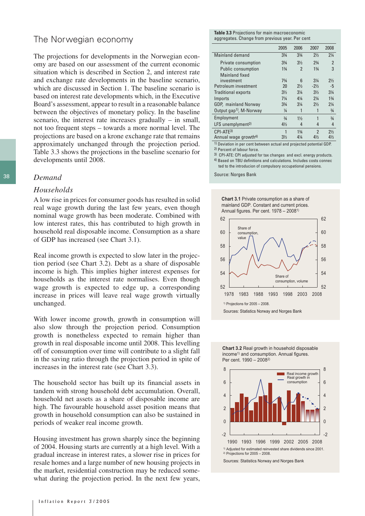## The Norwegian economy

The projections for developments in the Norwegian economy are based on our assessment of the current economic situation which is described in Section 2, and interest rate and exchange rate developments in the baseline scenario, which are discussed in Section 1. The baseline scenario is based on interest rate developments which, in the Executive Board's assessment, appear to result in a reasonable balance between the objectives of monetary policy. In the baseline scenario, the interest rate increases gradually – in small, not too frequent steps – towards a more normal level. The projections are based on a krone exchange rate that remains approximately unchanged through the projection period. Table 3.3 shows the projections in the baseline scenario for developments until 2008.

#### *Demand*

#### *Households*

A low rise in prices for consumer goods has resulted in solid real wage growth during the last few years, even though nominal wage growth has been moderate. Combined with low interest rates, this has contributed to high growth in household real disposable income. Consumption as a share of GDP has increased (see Chart 3.1).

Real income growth is expected to slow later in the projection period (see Chart 3.2). Debt as a share of disposable income is high. This implies higher interest expenses for households as the interest rate normalises. Even though wage growth is expected to edge up, a corresponding increase in prices will leave real wage growth virtually unchanged.

With lower income growth, growth in consumption will also slow through the projection period. Consumption growth is nonetheless expected to remain higher than growth in real disposable income until 2008. This levelling off of consumption over time will contribute to a slight fall in the saving ratio through the projection period in spite of increases in the interest rate (see Chart 3.3).

The household sector has built up its financial assets in tandem with strong household debt accumulation. Overall, household net assets as a share of disposable income are high. The favourable household asset position means that growth in household consumption can also be sustained in periods of weaker real income growth.

Housing investment has grown sharply since the beginning of 2004. Housing starts are currently at a high level. With a gradual increase in interest rates, a slower rise in prices for resale homes and a large number of new housing projects in the market, residential construction may be reduced somewhat during the projection period. In the next few years,

**Table 3.3** Projections for main macroeconomic aggregates. Change from previous year. Per cent

|                                     | 2005           | 2006           | 2007                     | 2008           |
|-------------------------------------|----------------|----------------|--------------------------|----------------|
| Mainland demand                     | $3\frac{3}{4}$ | $3\frac{3}{4}$ | $2\frac{1}{2}$           | $2\frac{1}{4}$ |
| Private consumption                 | $3\frac{3}{4}$ | $3\frac{1}{2}$ | $2^{3}/4$                | $\overline{2}$ |
| <b>Public consumption</b>           | $1\frac{3}{4}$ | $\overline{2}$ | $1\frac{3}{4}$           | 3              |
| <b>Mainland fixed</b>               |                |                |                          |                |
| investment                          | $7\frac{3}{4}$ | 6              | $3\frac{1}{4}$           | $2\frac{1}{2}$ |
| Petroleum investment                | 20             | $2\frac{1}{2}$ | $-2\frac{1}{2}$          | $-5$           |
| <b>Traditional exports</b>          | $3\frac{1}{2}$ | $3\frac{1}{4}$ | $3\frac{1}{2}$           | $3\frac{1}{4}$ |
| Imports                             | $7\frac{1}{4}$ | $4\frac{1}{4}$ | $2\frac{1}{4}$           | $1\frac{3}{4}$ |
| GDP, mainland Norway                | $3\frac{3}{4}$ | $3\frac{1}{4}$ | $2\frac{1}{2}$           | $2\frac{1}{4}$ |
| Output gap <sup>1)</sup> , M-Norway | $\frac{1}{4}$  | 1              | 1                        | $\frac{3}{4}$  |
| Employment                          | $\frac{3}{4}$  | $1\frac{1}{2}$ | 1                        | $\frac{3}{4}$  |
| LFS unemplyment <sup>2)</sup>       | $4\frac{1}{2}$ | 4              | 4                        | 4              |
| $CPI-ATE3$                          | 1              | $1\frac{3}{4}$ | $\overline{\phantom{a}}$ | $2\frac{1}{2}$ |
| Annual wage growth <sup>4)</sup>    | $3\frac{1}{2}$ | $4\frac{1}{4}$ | $4\frac{1}{2}$           | $4\frac{1}{2}$ |

1) Deviation in per cent between actual and projected potential GDP. 2) Percent of labour force.

3) CPI-ATE: CPI adjusted for tax changes and excl. energy products. 4) Based on TBU definitions and calculations. Includes costs connec ted to the introducion of compulsory occupational pensions.

Source: Norges Bank









Sources: Statistics Norway and Norges Bank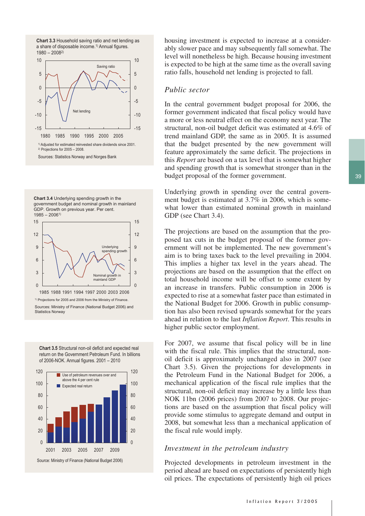



**Chart 3.4** Underlying spending growth in the government budget and nominal growth in mainland GDP. Growth on previous year. Per cent. 1985 – 20061)



1985 1988 1991 1994 1997 2000 2003 2006 <sup>1)</sup> Projections for 2005 and 2006 from the Ministry of Finance Sources: Ministry of Finance (National Budget 2006) and Statistics Norway





housing investment is expected to increase at a considerably slower pace and may subsequently fall somewhat. The level will nonetheless be high. Because housing investment is expected to be high at the same time as the overall saving ratio falls, household net lending is projected to fall.

#### *Public sector*

In the central government budget proposal for 2006, the former government indicated that fiscal policy would have a more or less neutral effect on the economy next year. The structural, non-oil budget deficit was estimated at 4.6% of trend mainland GDP, the same as in 2005. It is assumed that the budget presented by the new government will feature approximately the same deficit. The projections in this *Report* are based on a tax level that is somewhat higher and spending growth that is somewhat stronger than in the budget proposal of the former government.

Underlying growth in spending over the central government budget is estimated at 3.7% in 2006, which is somewhat lower than estimated nominal growth in mainland GDP (see Chart 3.4).

The projections are based on the assumption that the proposed tax cuts in the budget proposal of the former government will not be implemented. The new government's aim is to bring taxes back to the level prevailing in 2004. This implies a higher tax level in the years ahead. The projections are based on the assumption that the effect on total household income will be offset to some extent by an increase in transfers. Public consumption in 2006 is expected to rise at a somewhat faster pace than estimated in the National Budget for 2006. Growth in public consumption has also been revised upwards somewhat for the years ahead in relation to the last *Inflation Report*. This results in higher public sector employment.

For 2007, we assume that fiscal policy will be in line with the fiscal rule. This implies that the structural, nonoil deficit is approximately unchanged also in 2007 (see Chart 3.5). Given the projections for developments in the Petroleum Fund in the National Budget for 2006, a mechanical application of the fiscal rule implies that the structural, non-oil deficit may increase by a little less than NOK 11bn (2006 prices) from 2007 to 2008. Our projections are based on the assumption that fiscal policy will provide some stimulus to aggregate demand and output in 2008, but somewhat less than a mechanical application of the fiscal rule would imply.

#### *Investment in the petroleum industry*

Projected developments in petroleum investment in the period ahead are based on expectations of persistently high oil prices. The expectations of persistently high oil prices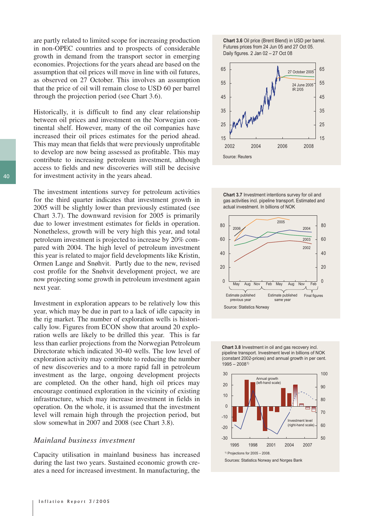are partly related to limited scope for increasing production in non-OPEC countries and to prospects of considerable growth in demand from the transport sector in emerging economies. Projections for the years ahead are based on the assumption that oil prices will move in line with oil futures, as observed on 27 October. This involves an assumption that the price of oil will remain close to USD 60 per barrel through the projection period (see Chart 3.6).

Historically, it is difficult to find any clear relationship between oil prices and investment on the Norwegian continental shelf. However, many of the oil companies have increased their oil prices estimates for the period ahead. This may mean that fields that were previously unprofitable to develop are now being assessed as profitable. This may contribute to increasing petroleum investment, although access to fields and new discoveries will still be decisive for investment activity in the years ahead.

The investment intentions survey for petroleum activities for the third quarter indicates that investment growth in 2005 will be slightly lower than previously estimated (see Chart 3.7). The downward revision for 2005 is primarily due to lower investment estimates for fields in operation. Nonetheless, growth will be very high this year, and total petroleum investment is projected to increase by 20% compared with 2004. The high level of petroleum investment this year is related to major field developments like Kristin, Ormen Lange and Snøhvit. Partly due to the new, revised cost profile for the Snøhvit development project, we are now projecting some growth in petroleum investment again next year.

Investment in exploration appears to be relatively low this year, which may be due in part to a lack of idle capacity in the rig market. The number of exploration wells is historically low. Figures from ECON show that around 20 exploration wells are likely to be drilled this year. This is far less than earlier projections from the Norwegian Petroleum Directorate which indicated 30-40 wells. The low level of exploration activity may contribute to reducing the number of new discoveries and to a more rapid fall in petroleum investment as the large, ongoing development projects are completed. On the other hand, high oil prices may encourage continued exploration in the vicinity of existing infrastructure, which may increase investment in fields in operation. On the whole, it is assumed that the investment level will remain high through the projection period, but slow somewhat in 2007 and 2008 (see Chart 3.8).

#### *Mainland business investment*

Capacity utilisation in mainland business has increased during the last two years. Sustained economic growth creates a need for increased investment. In manufacturing, the











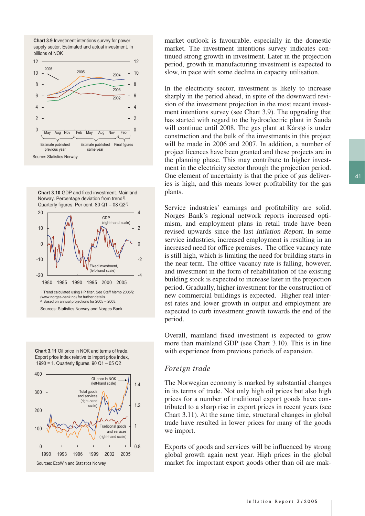







Sources: Statistics Norway and Norges Bank

**Chart 3.11** Oil price in NOK and terms of trade. Export price index relative to import price index, 1990 = 1. Quarterly figures. 90 Q1 – 05 Q2



market outlook is favourable, especially in the domestic market. The investment intentions survey indicates continued strong growth in investment. Later in the projection period, growth in manufacturing investment is expected to slow, in pace with some decline in capacity utilisation.

In the electricity sector, investment is likely to increase sharply in the period ahead, in spite of the downward revision of the investment projection in the most recent investment intentions survey (see Chart 3.9). The upgrading that has started with regard to the hydroelectric plant in Sauda will continue until 2008. The gas plant at Kårstø is under construction and the bulk of the investments in this project will be made in 2006 and 2007. In addition, a number of project licences have been granted and these projects are in the planning phase. This may contribute to higher investment in the electricity sector through the projection period. One element of uncertainty is that the price of gas deliveries is high, and this means lower profitability for the gas plants.

Service industries' earnings and profitability are solid. Norges Bank's regional network reports increased optimism, and employment plans in retail trade have been revised upwards since the last Inflation Report. In some service industries, increased employment is resulting in an increased need for office premises. The office vacancy rate is still high, which is limiting the need for building starts in the near term. The office vacancy rate is falling, however, and investment in the form of rehabilitation of the existing building stock is expected to increase later in the projection period. Gradually, higher investment for the construction of new commercial buildings is expected. Higher real interest rates and lower growth in output and employment are expected to curb investment growth towards the end of the period.

Overall, mainland fixed investment is expected to grow more than mainland GDP (see Chart 3.10). This is in line with experience from previous periods of expansion.

#### *Foreign trade*

The Norwegian economy is marked by substantial changes in its terms of trade. Not only high oil prices but also high prices for a number of traditional export goods have contributed to a sharp rise in export prices in recent years (see Chart 3.11). At the same time, structural changes in global trade have resulted in lower prices for many of the goods we import.

Exports of goods and services will be influenced by strong global growth again next year. High prices in the global market for important export goods other than oil are mak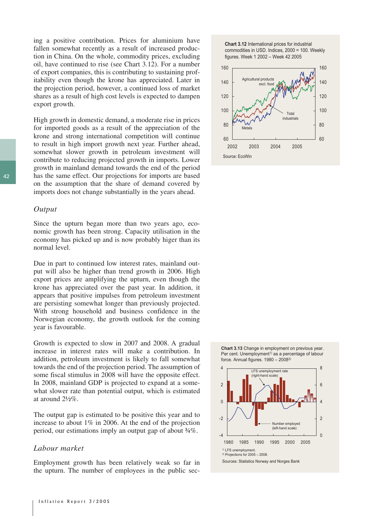ing a positive contribution. Prices for aluminium have fallen somewhat recently as a result of increased production in China. On the whole, commodity prices, excluding oil, have continued to rise (see Chart 3.12). For a number of export companies, this is contributing to sustaining profitability even though the krone has appreciated. Later in the projection period, however, a continued loss of market shares as a result of high cost levels is expected to dampen export growth.

High growth in domestic demand, a moderate rise in prices for imported goods as a result of the appreciation of the krone and strong international competition will continue to result in high import growth next year. Further ahead, somewhat slower growth in petroleum investment will contribute to reducing projected growth in imports. Lower growth in mainland demand towards the end of the period has the same effect. Our projections for imports are based on the assumption that the share of demand covered by imports does not change substantially in the years ahead.

#### *Output*

Since the upturn began more than two years ago, economic growth has been strong. Capacity utilisation in the economy has picked up and is now probably higer than its normal level.

Due in part to continued low interest rates, mainland output will also be higher than trend growth in 2006. High export prices are amplifying the upturn, even though the krone has appreciated over the past year. In addition, it appears that positive impulses from petroleum investment are persisting somewhat longer than previously projected. With strong household and business confidence in the Norwegian economy, the growth outlook for the coming year is favourable.

Growth is expected to slow in 2007 and 2008. A gradual increase in interest rates will make a contribution. In addition, petroleum investment is likely to fall somewhat towards the end of the projection period. The assumption of some fiscal stimulus in 2008 will have the opposite effect. In 2008, mainland GDP is projected to expand at a somewhat slower rate than potential output, which is estimated at around 2½%.

The output gap is estimated to be positive this year and to increase to about 1% in 2006. At the end of the projection period, our estimations imply an output gap of about ¾%.

#### *Labour market*

Employment growth has been relatively weak so far in the upturn. The number of employees in the public sec-





**Chart 3.13** Change in employment on previous year. Per cent. Unemployment<sup>1)</sup> as a percentage of labour force. Annual figures. 1980 – 20082)

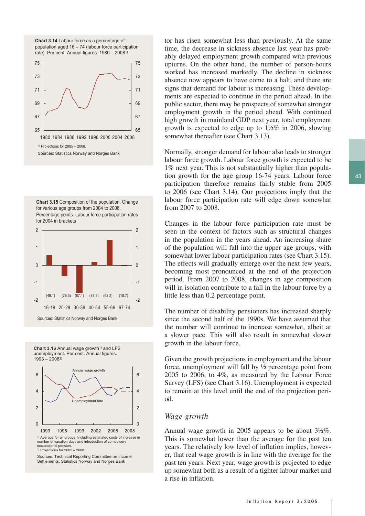**Chart 3.14** Labour force as a percentage of population aged 16 – 74 (labour force participation rate). Per cent. Annual figures. 1980 – 20081)



**Chart 3.15** Composition of the population. Change for various age groups from 2004 to 2008. Percentage points. Labour force participation rates for 2004 in brackets



**Chart 3.16** Annual wage growth<sup>1)</sup> and LFS unemployment. Per cent. Annual figures. 1993 – 20082)



Sources: Technical Reporting Committee on Income Settlements, Statistics Norway and Norges Bank

tor has risen somewhat less than previously. At the same time, the decrease in sickness absence last year has probably delayed employment growth compared with previous upturns. On the other hand, the number of person-hours worked has increased markedly. The decline in sickness absence now appears to have come to a halt, and there are signs that demand for labour is increasing. These developments are expected to continue in the period ahead. In the public sector, there may be prospects of somewhat stronger employment growth in the period ahead. With continued high growth in mainland GDP next year, total employment growth is expected to edge up to 1½% in 2006, slowing somewhat thereafter (see Chart 3.13).

Normally, stronger demand for labour also leads to stronger labour force growth. Labour force growth is expected to be 1% next year. This is not substantially higher than population growth for the age group 16-74 years. Labour force participation therefore remains fairly stable from 2005 to 2006 (see Chart 3.14). Our projections imply that the labour force participation rate will edge down somewhat from 2007 to 2008.

Changes in the labour force participation rate must be seen in the context of factors such as structural changes in the population in the years ahead. An increasing share of the population will fall into the upper age groups, with somewhat lower labour participation rates (see Chart 3.15). The effects will gradually emerge over the next few years, becoming most pronounced at the end of the projection period. From 2007 to 2008, changes in age composition will in isolation contribute to a fall in the labour force by a little less than 0.2 percentage point.

The number of disability pensioners has increased sharply since the second half of the 1990s. We have assumed that the number will continue to increase somewhat, albeit at a slower pace. This will also result in somewhat slower growth in the labour force.

Given the growth projections in employment and the labour force, unemployment will fall by ½ percentage point from 2005 to 2006, to 4%, as measured by the Labour Force Survey (LFS) (see Chart 3.16). Unemployment is expected to remain at this level until the end of the projection period.

#### *Wage growth*

Annual wage growth in 2005 appears to be about 3½%. This is somewhat lower than the average for the past ten years. The relatively low level of inflation implies, however, that real wage growth is in line with the average for the past ten years. Next year, wage growth is projected to edge up somewhat both as a result of a tighter labour market and a rise in inflation.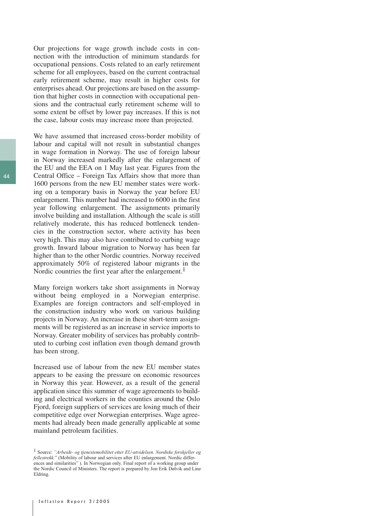Our projections for wage growth include costs in connection with the introduction of minimum standards for occupational pensions. Costs related to an early retirement scheme for all employees, based on the current contractual early retirement scheme, may result in higher costs for enterprises ahead. Our projections are based on the assumption that higher costs in connection with occupational pensions and the contractual early retirement scheme will to some extent be offset by lower pay increases. If this is not the case, labour costs may increase more than projected.

We have assumed that increased cross-border mobility of labour and capital will not result in substantial changes in wage formation in Norway. The use of foreign labour in Norway increased markedly after the enlargement of the EU and the EEA on 1 May last year. Figures from the Central Office – Foreign Tax Affairs show that more than 1600 persons from the new EU member states were working on a temporary basis in Norway the year before EU enlargement. This number had increased to 6000 in the first year following enlargement. The assignments primarily involve building and installation. Although the scale is still relatively moderate, this has reduced bottleneck tendencies in the construction sector, where activity has been very high. This may also have contributed to curbing wage growth. Inward labour migration to Norway has been far higher than to the other Nordic countries. Norway received approximately 50% of registered labour migrants in the Nordic countries the first year after the enlargement.<sup>1</sup>

Many foreign workers take short assignments in Norway without being employed in a Norwegian enterprise. Examples are foreign contractors and self-employed in the construction industry who work on various building projects in Norway. An increase in these short-term assignments will be registered as an increase in service imports to Norway. Greater mobility of services has probably contributed to curbing cost inflation even though demand growth has been strong.

Increased use of labour from the new EU member states appears to be easing the pressure on economic resources in Norway this year. However, as a result of the general application since this summer of wage agreements to building and electrical workers in the counties around the Oslo Fjord, foreign suppliers of services are losing much of their competitive edge over Norwegian enterprises. Wage agreements had already been made generally applicable at some mainland petroleum facilities.

<sup>1</sup> Source: *"Arbeids- og tjenestemobilitet etter EU-utvidelsen. Nordiske forskjeller og fellestrekk.*" (Mobility of labour and services after EU enlargement. Nordic differences and similarities" ). In Norwegian only. Final report of a working group under the Nordic Council of Ministers. The report is prepared by Jon Erik Dølvik and Line Eldring.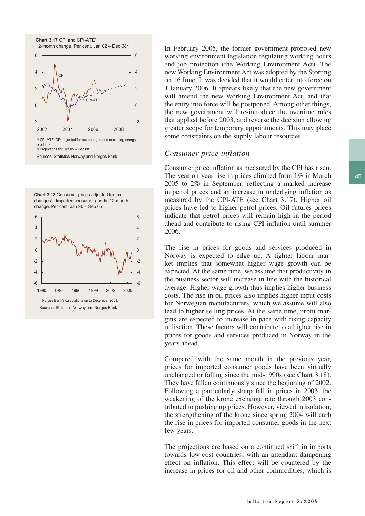

products. 2) Projections for Oct 05 – Dec 08.

Sources: Statistics Norway and Norges Bank

**Chart 3.18** Consumer prices adjusted for tax changes<sup>1)</sup>. Imported consumer goods. 12-month change. Per cent. Jan 90 – Sep 05



In February 2005, the former government proposed new working environment legislation regulating working hours and job protection (the Working Environment Act). The new Working Environment Act was adopted by the Storting on 16 June. It was decided that it would enter into force on 1 January 2006. It appears likely that the new government will amend the new Working Environment Act, and that the entry into force will be postponed. Among other things, the new government will re-introduce the overtime rules that applied before 2003, and reverse the decision allowing greater scope for temporary appointments. This may place some constraints on the supply labour resources.

#### *Consumer price inflation*

Consumer price inflation as measured by the CPI has risen. The year-on-year rise in prices climbed from 1% in March 2005 to 2% in September, reflecting a marked increase in petrol prices and an increase in underlying inflation as measured by the CPI-ATE (see Chart 3.17). Higher oil prices have led to higher petrol prices. Oil futures prices indicate that petrol prices will remain high in the period ahead and contribute to rising CPI inflation until summer 2006.

The rise in prices for goods and services produced in Norway is expected to edge up. A tighter labour market implies that somewhat higher wage growth can be expected. At the same time, we assume that productivity in the business sector will increase in line with the historical average. Higher wage growth thus implies higher business costs. The rise in oil prices also implies higher input costs for Norwegian manufacturers, which we assume will also lead to higher selling prices. At the same time, profit margins are expected to increase in pace with rising capacity utilisation. These factors will contribute to a higher rise in prices for goods and services produced in Norway in the years ahead.

Compared with the same month in the previous year, prices for imported consumer goods have been virtually unchanged or falling since the mid-1990s (see Chart 3.18). They have fallen continuously since the beginning of 2002. Following a particularly sharp fall in prices in 2003, the weakening of the krone exchange rate through 2003 contributed to pushing up prices. However, viewed in isolation, the strengthening of the krone since spring 2004 will curb the rise in prices for imported consumer goods in the next few years.

The projections are based on a continued shift in imports towards low-cost countries, with an attendant dampening effect on inflation. This effect will be countered by the increase in prices for oil and other commodities, which is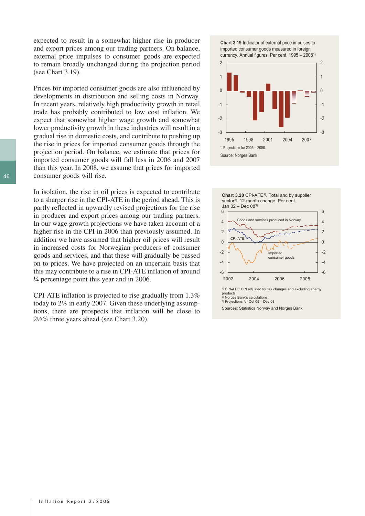expected to result in a somewhat higher rise in producer and export prices among our trading partners. On balance, external price impulses to consumer goods are expected to remain broadly unchanged during the projection period (see Chart 3.19).

Prices for imported consumer goods are also influenced by developments in distribution and selling costs in Norway. In recent years, relatively high productivity growth in retail trade has probably contributed to low cost inflation. We expect that somewhat higher wage growth and somewhat lower productivity growth in these industries will result in a gradual rise in domestic costs, and contribute to pushing up the rise in prices for imported consumer goods through the projection period. On balance, we estimate that prices for imported consumer goods will fall less in 2006 and 2007 than this year. In 2008, we assume that prices for imported consumer goods will rise.

In isolation, the rise in oil prices is expected to contribute to a sharper rise in the CPI-ATE in the period ahead. This is partly reflected in upwardly revised projections for the rise in producer and export prices among our trading partners. In our wage growth projections we have taken account of a higher rise in the CPI in 2006 than previously assumed. In addition we have assumed that higher oil prices will result in increased costs for Norwegian producers of consumer goods and services, and that these will gradually be passed on to prices. We have projected on an uncertain basis that this may contribute to a rise in CPI-ATE inflation of around ¼ percentage point this year and in 2006.

CPI-ATE inflation is projected to rise gradually from 1.3% today to 2% in early 2007. Given these underlying assumptions, there are prospects that inflation will be close to 2½% three years ahead (see Chart 3.20).







Sources: Statistics Norway and Norges Bank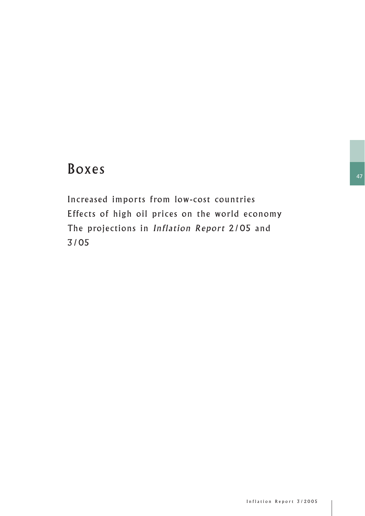# Boxes

Increased imports from low-cost countries Effects of high oil prices on the world economy The projections in Inflation Report 2/05 and 3/05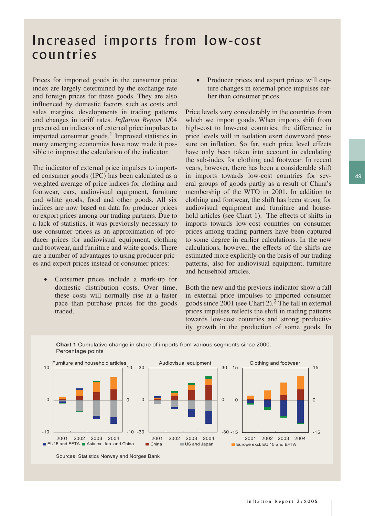## Increased imports from low-cost countries

Prices for imported goods in the consumer price index are largely determined by the exchange rate and foreign prices for these goods. They are also influenced by domestic factors such as costs and sales margins, developments in trading patterns and changes in tariff rates. *Inflation Report* 1/04 presented an indicator of external price impulses to imported consumer goods.<sup>1</sup> Improved statistics in many emerging economies have now made it possible to improve the calculation of the indicator.

The indicator of external price impulses to imported consumer goods (IPC) has been calculated as a weighted average of price indices for clothing and footwear, cars, audiovisual equipment, furniture and white goods, food and other goods. All six indices are now based on data for producer prices or export prices among our trading partners. Due to a lack of statistics, it was previously necessary to use consumer prices as an approximation of producer prices for audiovisual equipment, clothing and footwear, and furniture and white goods. There are a number of advantages to using producer prices and export prices instead of consumer prices:

• Consumer prices include a mark-up for domestic distribution costs. Over time, these costs will normally rise at a faster pace than purchase prices for the goods traded.

• Producer prices and export prices will capture changes in external price impulses earlier than consumer prices.

Price levels vary considerably in the countries from which we import goods. When imports shift from high-cost to low-cost countries, the difference in price levels will in isolation exert downward pressure on inflation. So far, such price level effects have only been taken into account in calculating the sub-index for clothing and footwear. In recent years, however, there has been a considerable shift in imports towards low-cost countries for several groups of goods partly as a result of China's membership of the WTO in 2001. In addition to clothing and footwear, the shift has been strong for audiovisual equipment and furniture and household articles (see Chart 1). The effects of shifts in imports towards low-cost countries on consumer prices among trading partners have been captured to some degree in earlier calculations. In the new calculations, however, the effects of the shifts are estimated more explicitly on the basis of our trading patterns, also for audiovisual equipment, furniture and household articles.

Both the new and the previous indicator show a fall in external price impulses to imported consumer goods since  $2001$  (see Chart 2).<sup>2</sup> The fall in external prices impulses reflects the shift in trading patterns towards low-cost countries and strong productivity growth in the production of some goods. In



**Chart 1** Cumulative change in share of imports from various segments since 2000. Percentage points

Sources: Statistics Norway and Norges Bank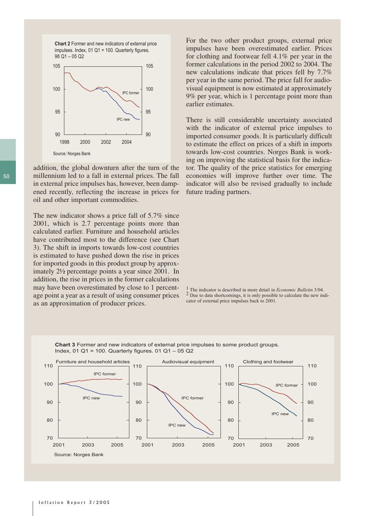**Chart 2** Former and new indicators of external price impulses. Index, 01 Q1 = 100. Quarterly figures. 98 Q1 – 05 Q2



addition, the global downturn after the turn of the millennium led to a fall in external prices. The fall in external price impulses has, however, been dampened recently, reflecting the increase in prices for oil and other important commodities.

The new indicator shows a price fall of 5.7% since 2001, which is 2.7 percentage points more than calculated earlier. Furniture and household articles have contributed most to the difference (see Chart 3). The shift in imports towards low-cost countries is estimated to have pushed down the rise in prices for imported goods in this product group by approximately 2½ percentage points a year since 2001. In addition, the rise in prices in the former calculations may have been overestimated by close to 1 percentage point a year as a result of using consumer prices as an approximation of producer prices.

For the two other product groups, external price impulses have been overestimated earlier. Prices for clothing and footwear fell 4.1% per year in the former calculations in the period 2002 to 2004. The new calculations indicate that prices fell by 7.7% per year in the same period. The price fall for audiovisual equipment is now estimated at approximately 9% per year, which is 1 percentage point more than earlier estimates.

There is still considerable uncertainty associated with the indicator of external price impulses to imported consumer goods. It is particularly difficult to estimate the effect on prices of a shift in imports towards low-cost countries. Norges Bank is working on improving the statistical basis for the indicator. The quality of the price statistics for emerging economies will improve further over time. The indicator will also be revised gradually to include future trading partners.

1 The indicator is described in more detail in *Economic Bulletin* 3/04. 2 Due to data shortcomings, it is only possible to calculate the new indicator of external price impulses back to 2001.



**Chart 3** Former and new indicators of external price impulses to some product groups. Index, 01 Q1 = 100. Quarterly figures. 01 Q1 – 05 Q2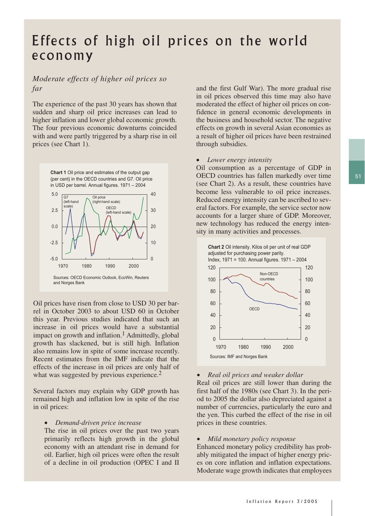## Effects of high oil prices on the world economy

## *Moderate effects of higher oil prices so far*

The experience of the past 30 years has shown that sudden and sharp oil price increases can lead to higher inflation and lower global economic growth. The four previous economic downturns coincided with and were partly triggered by a sharp rise in oil prices (see Chart 1).



Oil prices have risen from close to USD 30 per barrel in October 2003 to about USD 60 in October this year. Previous studies indicated that such an increase in oil prices would have a substantial impact on growth and inflation.<sup>1</sup> Admittedly, global growth has slackened, but is still high. Inflation also remains low in spite of some increase recently. Recent estimates from the IMF indicate that the effects of the increase in oil prices are only half of what was suggested by previous experience.<sup>2</sup>

Several factors may explain why GDP growth has remained high and inflation low in spite of the rise in oil prices:

#### • *Demand-driven price increase*

The rise in oil prices over the past two years primarily reflects high growth in the global economy with an attendant rise in demand for oil. Earlier, high oil prices were often the result of a decline in oil production (OPEC I and II

and the first Gulf War). The more gradual rise in oil prices observed this time may also have moderated the effect of higher oil prices on confidence in general economic developments in the business and household sector. The negative effects on growth in several Asian economies as a result of higher oil prices have been restrained through subsidies.

#### • *Lower energy intensity*

Oil consumption as a percentage of GDP in OECD countries has fallen markedly over time (see Chart 2). As a result, these countries have become less vulnerable to oil price increases. Reduced energy intensity can be ascribed to several factors. For example, the service sector now accounts for a larger share of GDP. Moreover, new technology has reduced the energy intensity in many activities and processes.



#### • *Real oil prices and weaker dollar*

Real oil prices are still lower than during the first half of the 1980s (see Chart 3). In the period to 2005 the dollar also depreciated against a number of currencies, particularly the euro and the yen. This curbed the effect of the rise in oil prices in these countries.

#### • *Mild monetary policy response*

Enhanced monetary policy credibility has probably mitigated the impact of higher energy prices on core inflation and inflation expectations. Moderate wage growth indicates that employees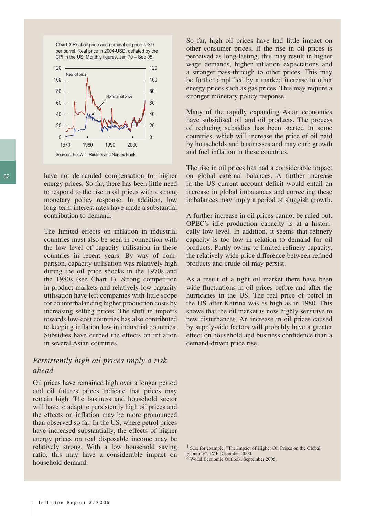**Chart 3** Real oil price and nominal oil price. USD per barrel. Real price in 2004-USD, deflated by the CPI in the US. Monthly figures. Jan 70 – Sep 05



have not demanded compensation for higher energy prices. So far, there has been little need to respond to the rise in oil prices with a strong monetary policy response. In addition, low long-term interest rates have made a substantial contribution to demand.

The limited effects on inflation in industrial countries must also be seen in connection with the low level of capacity utilisation in these countries in recent years. By way of comparison, capacity utilisation was relatively high during the oil price shocks in the 1970s and the 1980s (see Chart 1). Strong competition in product markets and relatively low capacity utilisation have left companies with little scope for counterbalancing higher production costs by increasing selling prices. The shift in imports towards low-cost countries has also contributed to keeping inflation low in industrial countries. Subsidies have curbed the effects on inflation in several Asian countries.

## *Persistently high oil prices imply a risk ahead*

Oil prices have remained high over a longer period and oil futures prices indicate that prices may remain high. The business and household sector will have to adapt to persistently high oil prices and the effects on inflation may be more pronounced than observed so far. In the US, where petrol prices have increased substantially, the effects of higher energy prices on real disposable income may be relatively strong. With a low household saving ratio, this may have a considerable impact on household demand.

So far, high oil prices have had little impact on other consumer prices. If the rise in oil prices is perceived as long-lasting, this may result in higher wage demands, higher inflation expectations and a stronger pass-through to other prices. This may be further amplified by a marked increase in other energy prices such as gas prices. This may require a stronger monetary policy response.

Many of the rapidly expanding Asian economies have subsidised oil and oil products. The process of reducing subsidies has been started in some countries, which will increase the price of oil paid by households and businesses and may curb growth and fuel inflation in these countries.

The rise in oil prices has had a considerable impact on global external balances. A further increase in the US current account deficit would entail an increase in global imbalances and correcting these imbalances may imply a period of sluggish growth.

A further increase in oil prices cannot be ruled out. OPEC's idle production capacity is at a historically low level. In addition, it seems that refinery capacity is too low in relation to demand for oil products. Partly owing to limited refinery capacity, the relatively wide price difference between refined products and crude oil may persist.

As a result of a tight oil market there have been wide fluctuations in oil prices before and after the hurricanes in the US. The real price of petrol in the US after Katrina was as high as in 1980. This shows that the oil market is now highly sensitive to new disturbances. An increase in oil prices caused by supply-side factors will probably have a greater effect on household and business confidence than a demand-driven price rise.

<sup>1</sup> See, for example, "The Impact of Higher Oil Prices on the Global Economy", IMF December 2000. 2 World Economic Outlook, September 2005.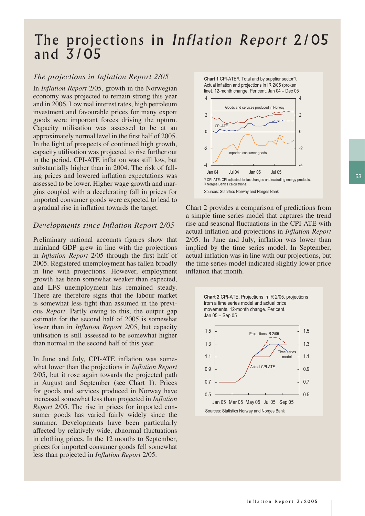## The projections in Inflation Report 2/05 and 3/05

## *The projections in Inflation Report 2/05*

In *Inflation Report* 2/05, growth in the Norwegian economy was projected to remain strong this year and in 2006. Low real interest rates, high petroleum investment and favourable prices for many export goods were important forces driving the upturn. Capacity utilisation was assessed to be at an approximately normal level in the first half of 2005. In the light of prospects of continued high growth, capacity utilisation was projected to rise further out in the period. CPI-ATE inflation was still low, but substantially higher than in 2004. The risk of falling prices and lowered inflation expectations was assessed to be lower. Higher wage growth and margins coupled with a decelerating fall in prices for imported consumer goods were expected to lead to a gradual rise in inflation towards the target.

## *Developments since Inflation Report 2/05*

Preliminary national accounts figures show that mainland GDP grew in line with the projections in *Inflation Report* 2/05 through the first half of 2005. Registered unemployment has fallen broadly in line with projections. However, employment growth has been somewhat weaker than expected, and LFS unemployment has remained steady. There are therefore signs that the labour market is somewhat less tight than assumed in the previous *Report*. Partly owing to this, the output gap estimate for the second half of 2005 is somewhat lower than in *Inflation Report* 2/05, but capacity utilisation is still assessed to be somewhat higher than normal in the second half of this year.

In June and July, CPI-ATE inflation was somewhat lower than the projections in *Inflation Report* 2/05, but it rose again towards the projected path in August and September (see Chart 1). Prices for goods and services produced in Norway have increased somewhat less than projected in *Inflation Report* 2/05. The rise in prices for imported consumer goods has varied fairly widely since the summer. Developments have been particularly affected by relatively wide, abnormal fluctuations in clothing prices. In the 12 months to September, prices for imported consumer goods fell somewhat less than projected in *Inflation Report* 2/05.

**Chart 1** CPI-ATE<sup>1)</sup>. Total and by supplier sector<sup>2)</sup>. Actual inflation and projections in IR 2/05 (broken



Chart 2 provides a comparison of predictions from a simple time series model that captures the trend rise and seasonal fluctuations in the CPI-ATE with actual inflation and projections in *Inflation Report* 2/05. In June and July, inflation was lower than implied by the time series model. In September, actual inflation was in line with our projections, but the time series model indicated slightly lower price inflation that month.

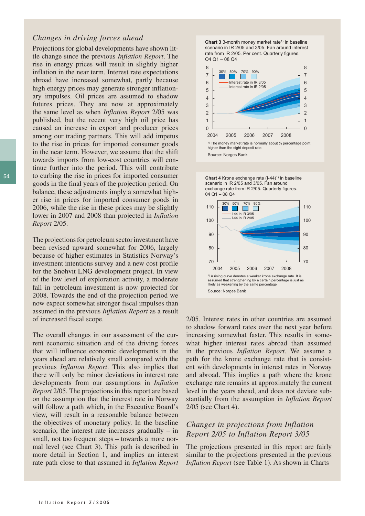#### *Changes in driving forces ahead*

Projections for global developments have shown little change since the previous *Inflation Report*. The rise in energy prices will result in slightly higher inflation in the near term. Interest rate expectations abroad have increased somewhat, partly because high energy prices may generate stronger inflationary impulses. Oil prices are assumed to shadow futures prices. They are now at approximately the same level as when *Inflation Report* 2/05 was published, but the recent very high oil price has caused an increase in export and producer prices among our trading partners. This will add impetus to the rise in prices for imported consumer goods in the near term. However, we assume that the shift towards imports from low-cost countries will continue further into the period. This will contribute to curbing the rise in prices for imported consumer goods in the final years of the projection period. On balance, these adjustments imply a somewhat higher rise in prices for imported consumer goods in 2006, while the rise in these prices may be slightly lower in 2007 and 2008 than projected in *Inflation Report* 2/05.

The projections for petroleum sector investment have been revised upward somewhat for 2006, largely because of higher estimates in Statistics Norway's investment intentions survey and a new cost profile for the Snøhvit LNG development project. In view of the low level of exploration activity, a moderate fall in petroleum investment is now projected for 2008. Towards the end of the projection period we now expect somewhat stronger fiscal impulses than assumed in the previous *Inflation Report* as a result of increased fiscal scope.

The overall changes in our assessment of the current economic situation and of the driving forces that will influence economic developments in the years ahead are relatively small compared with the previous *Inflation Report*. This also implies that there will only be minor deviations in interest rate developments from our assumptions in *Inflation Report* 2/05. The projections in this report are based on the assumption that the interest rate in Norway will follow a path which, in the Executive Board's view, will result in a reasonable balance between the objectives of monetary policy. In the baseline scenario, the interest rate increases gradually – in small, not too frequent steps – towards a more normal level (see Chart 3). This path is described in more detail in Section 1, and implies an interest rate path close to that assumed in *Inflation Report*

**Chart 3** 3-month money market rate<sup>1)</sup> in baseline scenario in IR 2/05 and 3/05. Fan around interest rate from IR 2/05. Per cent. Quarterly figures.  $O4$   $O1 - 08$   $O4$ 



Source: Norges Bank





2/05. Interest rates in other countries are assumed to shadow forward rates over the next year before increasing somewhat faster. This results in somewhat higher interest rates abroad than assumed in the previous *Inflation Report*. We assume a path for the krone exchange rate that is consistent with developments in interest rates in Norway and abroad. This implies a path where the krone exchange rate remains at approximately the current level in the years ahead, and does not deviate substantially from the assumption in *Inflation Report* 2/05 (see Chart 4).

## *Changes in projections from Inflation Report 2/05 to Inflation Report 3/05*

The projections presented in this report are fairly similar to the projections presented in the previous *Inflation Report* (see Table 1). As shown in Charts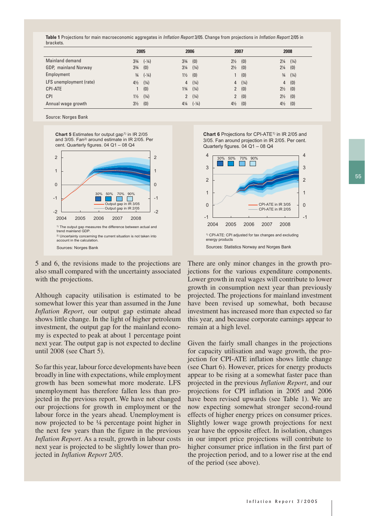**Table 1** Projections for main macroeconomic aggregates in Inflation Report 3/05. Change from projections in Inflation Report 2/05 in brackets.

|                         |                | 2005             |                | 2006             | 2007           |       |                | 2008  |
|-------------------------|----------------|------------------|----------------|------------------|----------------|-------|----------------|-------|
| Mainland demand         | $3\frac{3}{4}$ | $(-\frac{1}{4})$ | $3\frac{3}{4}$ | (0)              | $2\frac{1}{2}$ | (0)   | $2\frac{1}{4}$ | (1/4) |
| GDP, mainland Norway    | $3\frac{3}{4}$ | (0)              | $3\frac{1}{4}$ | (1/4)            | $2\frac{1}{2}$ | (0)   | $2\frac{1}{4}$ | (0)   |
| Employment              | $\frac{3}{4}$  | $(-\frac{1}{4})$ | $1\frac{1}{2}$ | (0)              |                | (0)   | $\frac{3}{4}$  | (1/4) |
| LFS unemployment (rate) | $4\frac{1}{2}$ | (1/4)            | $\overline{4}$ | (1/4)            | 4              | (1/4) | 4              | (0)   |
| <b>CPI-ATE</b>          |                | (0)              | $1\frac{3}{4}$ | (1/4)            | $\mathbf{2}$   | (0)   | $2\frac{1}{2}$ | (0)   |
| <b>CPI</b>              | $1\frac{1}{2}$ | (1/4)            | $\mathbf{2}$   | (1/4)            |                | 2(0)  | $2\frac{1}{2}$ | (0)   |
| Annual wage growth      | $3\frac{1}{2}$ | (0)              | $4\frac{1}{4}$ | $(-\frac{1}{4})$ | $4\frac{1}{2}$ | (0)   | $4\frac{1}{2}$ | (0)   |

Source: Norges Bank

**Chart 5** Estimates for output gap<sup>1)</sup> in IR 2/05 and 3/05. Fan2) around estimate in IR 2/05. Per cent. Quarterly figures. 04 Q1 – 08 Q4



5 and 6, the revisions made to the projections are also small compared with the uncertainty associated with the projections.

Although capacity utilisation is estimated to be somewhat lower this year than assumed in the June *Inflation Report*, our output gap estimate ahead shows little change. In the light of higher petroleum investment, the output gap for the mainland economy is expected to peak at about 1 percentage point next year. The output gap is not expected to decline until 2008 (see Chart 5).

So far this year, labour force developments have been broadly in line with expectations, while employment growth has been somewhat more moderate. LFS unemployment has therefore fallen less than projected in the previous report. We have not changed our projections for growth in employment or the labour force in the years ahead. Unemployment is now projected to be ¼ percentage point higher in the next few years than the figure in the previous *Inflation Report*. As a result, growth in labour costs next year is projected to be slightly lower than projected in *Inflation Report* 2/05.

**Chart 6** Projections for CPI-ATE<sup>1)</sup> in IR 2/05 and 3/05. Fan around projection in IR 2/05. Per cent. Quarterly figures. 04 Q1 – 08 Q4



There are only minor changes in the growth projections for the various expenditure components. Lower growth in real wages will contribute to lower growth in consumption next year than previously projected. The projections for mainland investment have been revised up somewhat, both because investment has increased more than expected so far this year, and because corporate earnings appear to remain at a high level.

Given the fairly small changes in the projections for capacity utilisation and wage growth, the projection for CPI-ATE inflation shows little change (see Chart 6). However, prices for energy products appear to be rising at a somewhat faster pace than projected in the previous *Inflation Report*, and our projections for CPI inflation in 2005 and 2006 have been revised upwards (see Table 1). We are now expecting somewhat stronger second-round effects of higher energy prices on consumer prices. Slightly lower wage growth projections for next year have the opposite effect. In isolation, changes in our import price projections will contribute to higher consumer price inflation in the first part of the projection period, and to a lower rise at the end of the period (see above).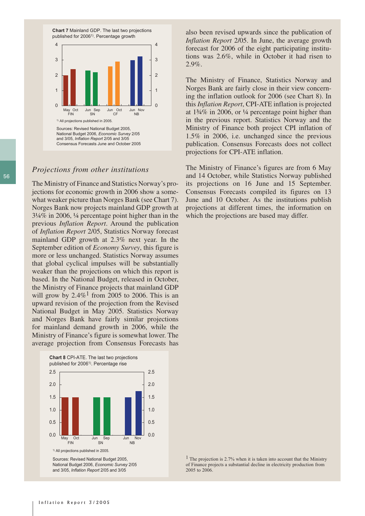

### *Projections from other institutions*

The Ministry of Finance and Statistics Norway's projections for economic growth in 2006 show a somewhat weaker picture than Norges Bank (see Chart 7). Norges Bank now projects mainland GDP growth at 3¼% in 2006, ¼ percentage point higher than in the previous *Inflation Report*. Around the publication of *Inflation Report* 2/05, Statistics Norway forecast mainland GDP growth at 2.3% next year. In the September edition of *Economy Survey*, this figure is more or less unchanged. Statistics Norway assumes that global cyclical impulses will be substantially weaker than the projections on which this report is based. In the National Budget, released in October, the Ministry of Finance projects that mainland GDP will grow by  $2.4\%$ <sup>1</sup> from 2005 to 2006. This is an upward revision of the projection from the Revised National Budget in May 2005. Statistics Norway and Norges Bank have fairly similar projections for mainland demand growth in 2006, while the Ministry of Finance's figure is somewhat lower. The average projection from Consensus Forecasts has



also been revised upwards since the publication of *Inflation Report* 2/05. In June, the average growth forecast for 2006 of the eight participating institutions was 2.6%, while in October it had risen to 2.9%.

The Ministry of Finance, Statistics Norway and Norges Bank are fairly close in their view concerning the inflation outlook for 2006 (see Chart 8). In this *Inflation Report*, CPI-ATE inflation is projected at 1¾% in 2006, or ¼ percentage point higher than in the previous report. Statistics Norway and the Ministry of Finance both project CPI inflation of 1.5% in 2006, i.e. unchanged since the previous publication. Consensus Forecasts does not collect projections for CPI-ATE inflation.

The Ministry of Finance's figures are from 6 May and 14 October, while Statistics Norway published its projections on 16 June and 15 September. Consensus Forecasts compiled its figures on 13 June and 10 October. As the institutions publish projections at different times, the information on which the projections are based may differ.

1 The projection is 2.7% when it is taken into account that the Ministry of Finance projects a substantial decline in electricity production from 2005 to 2006.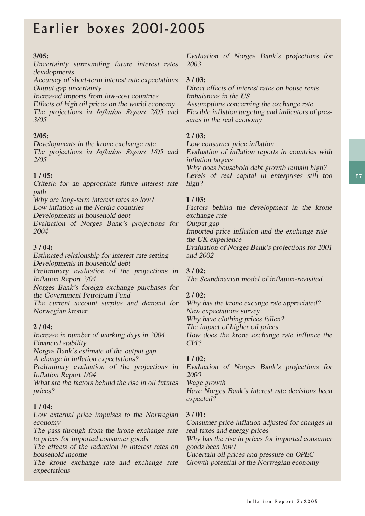## Earlier boxes 2001-2005

## **3/05:**

Uncertainty surrounding future interest rates developments

Accuracy of short-term interest rate expectations Output gap uncertainty

Increased imports from low-cost countries

Effects of high oil prices on the world economy The projections in *Inflation Report* 2/05 and 3/05

## **2/05:**

Developments in the krone exchange rate The projections in *Inflation Report* 1/05 and 2/05

## **1 / 05:**

Criteria for an appropriate future interest rate path

Why are long-term interest rates so low? Low inflation in the Nordic countries

Developments in household debt

Evaluation of Norges Bank's projections for 2004

### **3 / 04:**

Estimated relationship for interest rate setting Developments in household debt

Preliminary evaluation of the projections in Inflation Report 2/04

Norges Bank's foreign exchange purchases for the Government Petroleum Fund

The current account surplus and demand for Norwegian kroner

### **2 / 04:**

Increase in number of working days in 2004 Financial stability

Norges Bank's estimate of the output gap A change in inflation expectations?

Preliminary evaluation of the projections in Inflation Report 1/04

What are the factors behind the rise in oil futures prices?

### **1 / 04:**

Low external price impulses to the Norwegian economy

The pass-through from the krone exchange rate to prices for imported consumer goods

The effects of the reduction in interest rates on household income

The krone exchange rate and exchange rate expectations

Evaluation of Norges Bank's projections for 2003

### **3 / 03:**

Direct effects of interest rates on house rents Imbalances in the US Assumptions concerning the exchange rate

Flexible inflation targeting and indicators of pressures in the real economy

### **2 / 03:**

Low consumer price inflation

Evaluation of inflation reports in countries with inflation targets Why does household debt growth remain high? Levels of real capital in enterprises still too high?

### **1 / 03:**

Factors behind the development in the krone exchange rate

Output gap

Imported price inflation and the exchange rate the UK experience

Evaluation of Norges Bank's projections for 2001 and 2002

## **3 / 02:**

The Scandinavian model of inflation-revisited

### **2 / 02:**

Why has the krone excange rate appreciated? New expectations survey Why have clothing prices fallen? The impact of higher oil prices How does the krone exchange rate influnce the CPI?

### **1 / 02:**

Evaluation of Norges Bank's projections for 2000

Wage growth

Have Norges Bank's interest rate decisions been expected?

### **3 / 01:**

Consumer price inflation adjusted for changes in real taxes and energy prices

Why has the rise in prices for imported consumer goods been low?

Uncertain oil prices and pressure on OPEC Growth potential of the Norwegian economy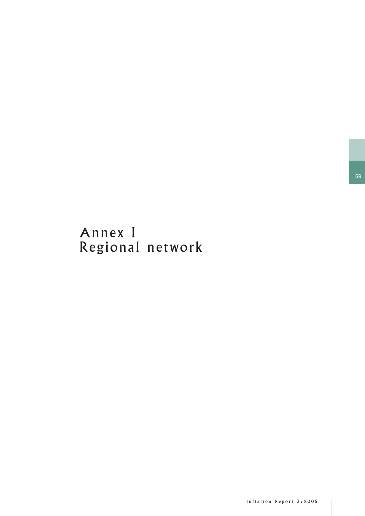## Annex I Regional network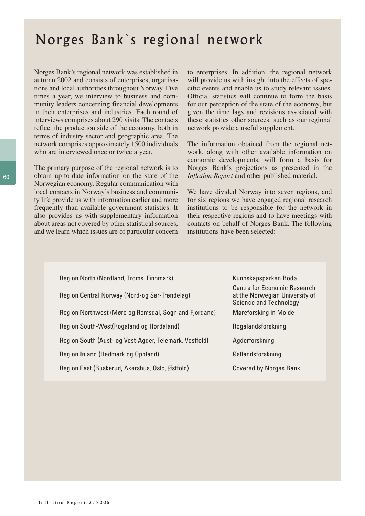## Norges Bank`s regional network

Norges Bank's regional network was established in autumn 2002 and consists of enterprises, organisations and local authorities throughout Norway. Five times a year, we interview to business and community leaders concerning financial developments in their enterprises and industries. Each round of interviews comprises about 290 visits. The contacts reflect the production side of the economy, both in terms of industry sector and geographic area. The network comprises approximately 1500 individuals who are interviewed once or twice a year.

The primary purpose of the regional network is to obtain up-to-date information on the state of the Norwegian economy. Regular communication with local contacts in Norway's business and community life provide us with information earlier and more frequently than available government statistics. It also provides us with supplementary information about areas not covered by other statistical sources, and we learn which issues are of particular concern

to enterprises. In addition, the regional network will provide us with insight into the effects of specific events and enable us to study relevant issues. Official statistics will continue to form the basis for our perception of the state of the economy, but given the time lags and revisions associated with these statistics other sources, such as our regional network provide a useful supplement.

The information obtained from the regional network, along with other available information on economic developments, will form a basis for Norges Bank's projections as presented in the *Inflation Report* and other published material.

We have divided Norway into seven regions, and for six regions we have engaged regional research institutions to be responsible for the network in their respective regions and to have meetings with contacts on behalf of Norges Bank. The following institutions have been selected:

| Region North (Nordland, Troms, Finnmark)               | Kunnskapsparken Bodø                                                                                   |
|--------------------------------------------------------|--------------------------------------------------------------------------------------------------------|
| Region Central Norway (Nord-og Sør-Trøndelag)          | <b>Centre for Economic Research</b><br>at the Norwegian University of<br><b>Science and Technology</b> |
| Region Northwest (Møre og Romsdal, Sogn and Fjordane)  | Møreforsking in Molde                                                                                  |
| Region South-West(Rogaland og Hordaland)               | Rogalandsforskning                                                                                     |
| Region South (Aust- og Vest-Agder, Telemark, Vestfold) | Agderforskning                                                                                         |
| Region Inland (Hedmark og Oppland)                     | Østlandsforskning                                                                                      |
| Region East (Buskerud, Akershus, Oslo, Østfold)        | <b>Covered by Norges Bank</b>                                                                          |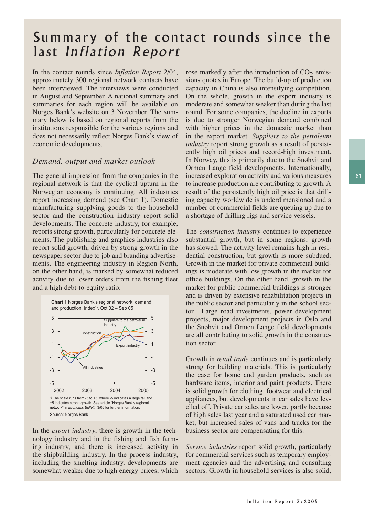## Summary of the contact rounds since the last Inflation Report

In the contact rounds since *Inflation Report* 2/04, approximately 300 regional network contacts have been interviewed. The interviews were conducted in August and September. A national summary and summaries for each region will be available on Norges Bank's website on 3 November. The summary below is based on regional reports from the institutions responsible for the various regions and does not necessarily reflect Norges Bank's view of economic developments.

#### *Demand, output and market outlook*

The general impression from the companies in the regional network is that the cyclical upturn in the Norwegian economy is continuing. All industries report increasing demand (see Chart 1). Domestic manufacturing supplying goods to the household sector and the construction industry report solid developments. The concrete industry, for example, reports strong growth, particularly for concrete elements. The publishing and graphics industries also report solid growth, driven by strong growth in the newspaper sector due to job and branding advertisements. The engineering industry in Region North, on the other hand, is marked by somewhat reduced activity due to lower orders from the fishing fleet and a high debt-to-equity ratio.





In the *export industry*, there is growth in the technology industry and in the fishing and fish farming industry, and there is increased activity in the shipbuilding industry. In the process industry, including the smelting industry, developments are somewhat weaker due to high energy prices, which rose markedly after the introduction of  $CO<sub>2</sub>$  emissions quotas in Europe. The build-up of production capacity in China is also intensifying competition. On the whole, growth in the export industry is moderate and somewhat weaker than during the last round. For some companies, the decline in exports is due to stronger Norwegian demand combined with higher prices in the domestic market than in the export market. *Suppliers to the petroleum industry* report strong growth as a result of persistently high oil prices and record-high investment. In Norway, this is primarily due to the Snøhvit and Ormen Lange field developments. Internationally, increased exploration activity and various measures to increase production are contributing to growth. A result of the persistently high oil price is that drilling capacity worldwide is underdimensioned and a number of commercial fields are queuing up due to a shortage of drilling rigs and service vessels.

The *construction industry* continues to experience substantial growth, but in some regions, growth has slowed. The activity level remains high in residential construction, but growth is more subdued. Growth in the market for private commercial buildings is moderate with low growth in the market for office buildings. On the other hand, growth in the market for public commercial buildings is stronger and is driven by extensive rehabilitation projects in the public sector and particularly in the school sector. Large road investments, power development projects, major development projects in Oslo and the Snøhvit and Ormen Lange field developments are all contributing to solid growth in the construction sector.

Growth in *retail trade* continues and is particularly strong for building materials. This is particularly the case for home and garden products, such as hardware items, interior and paint products. There is solid growth for clothing, footwear and electrical appliances, but developments in car sales have levelled off. Private car sales are lower, partly because of high sales last year and a saturated used car market, but increased sales of vans and trucks for the business sector are compensating for this.

*Service industries* report solid growth, particularly for commercial services such as temporary employment agencies and the advertising and consulting sectors. Growth in household services is also solid,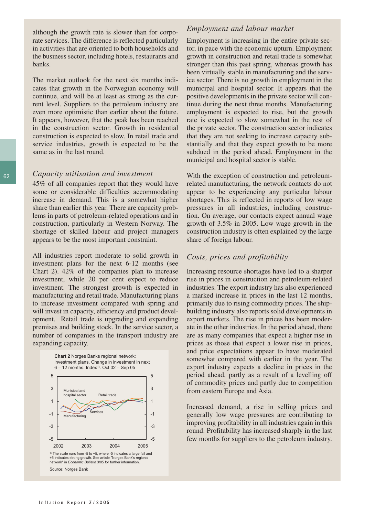although the growth rate is slower than for corporate services. The difference is reflected particularly in activities that are oriented to both households and the business sector, including hotels, restaurants and banks.

The market outlook for the next six months indicates that growth in the Norwegian economy will continue, and will be at least as strong as the current level. Suppliers to the petroleum industry are even more optimistic than earlier about the future. It appears, however, that the peak has been reached in the construction sector. Growth in residential construction is expected to slow. In retail trade and service industries, growth is expected to be the same as in the last round.

#### *Capacity utilisation and investment*

45% of all companies report that they would have some or considerable difficulties accommodating increase in demand. This is a somewhat higher share than earlier this year. There are capacity problems in parts of petroleum-related operations and in construction, particularly in Western Norway. The shortage of skilled labour and project managers appears to be the most important constraint.

All industries report moderate to solid growth in investment plans for the next 6-12 months (see Chart 2). 42% of the companies plan to increase investment, while 20 per cent expect to reduce investment. The strongest growth is expected in manufacturing and retail trade. Manufacturing plans to increase investment compared with spring and will invest in capacity, efficiency and product development. Retail trade is upgrading and expanding premises and building stock. In the service sector, a number of companies in the transport industry are expanding capacity.



1) The scale runs from -5 to +5, where -5 indicates a large fall and +5 indicates strong growth. See article "Norges Bank's regional network" in *Economic Bulletin* 3/05 for further information. Source: Norges Bank

#### *Employment and labour market*

Employment is increasing in the entire private sector, in pace with the economic upturn. Employment growth in construction and retail trade is somewhat stronger than this past spring, whereas growth has been virtually stable in manufacturing and the service sector. There is no growth in employment in the municipal and hospital sector. It appears that the positive developments in the private sector will continue during the next three months. Manufacturing employment is expected to rise, but the growth rate is expected to slow somewhat in the rest of the private sector. The construction sector indicates that they are not seeking to increase capacity substantially and that they expect growth to be more subdued in the period ahead. Employment in the municipal and hospital sector is stable.

With the exception of construction and petroleumrelated manufacturing, the network contacts do not appear to be experiencing any particular labour shortages. This is reflected in reports of low wage pressures in all industries, including construction. On average, our contacts expect annual wage growth of 3.5% in 2005. Low wage growth in the construction industry is often explained by the large share of foreign labour.

#### *Costs, prices and profitability*

Increasing resource shortages have led to a sharper rise in prices in construction and petroleum-related industries. The export industry has also experienced a marked increase in prices in the last 12 months, primarily due to rising commodity prices. The shipbuilding industry also reports solid developments in export markets. The rise in prices has been moderate in the other industries. In the period ahead, there are as many companies that expect a higher rise in prices as those that expect a lower rise in prices, and price expectations appear to have moderated somewhat compared with earlier in the year. The export industry expects a decline in prices in the period ahead, partly as a result of a levelling off of commodity prices and partly due to competition from eastern Europe and Asia.

Increased demand, a rise in selling prices and generally low wage pressures are contributing to improving profitability in all industries again in this round. Profitability has increased sharply in the last few months for suppliers to the petroleum industry.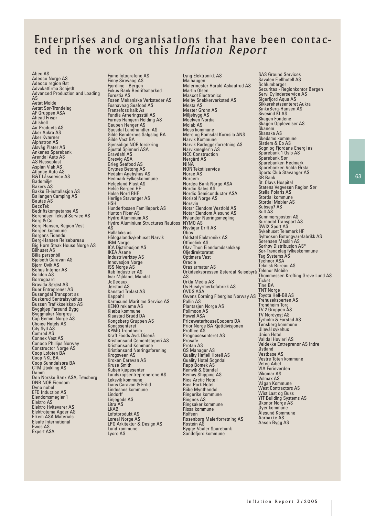## Enterprises and organisations that have been contacted in the work on this Inflation Report

Abeo AS Adecco Norge AS Adecco region Øst Advokatfirma Schjødt Advanced Production and Loading AS Aetat Molde Aetat Sør-Trøndelag AF Gruppen ASA Ahead Frisør Ahlshell Air Products AS Aker Aukra AS Aker Kværner Alphatron AS Alsvåg Plater AS Ankenes Sparebank Arendal Auto AS AS Nesseplast Asplan Viak AS Atlantic Auto AS B&T Låsservice AS Bademiljø Bakers AS Bakke El-installasjon AS Ballangen Camping AS Bautas AS BecoTek Bedriftskompetanse AS Berendsen Tekstil Service AS Berg & Co Berg-Hansen, Region Vest Bergen kommune Bergens Tidende Berg-Hansen Reisebureau Big Horn Steak House Norge AS Bilhuset AS Bilia personbil Bjølseth Caravan AS Bjørn Ovik AS Bohus Interiør AS Boliden AS Borregaard Bravida Sørøst AS Buer Entreprenør AS Busengdal Transport as Buskerud Sentralsykehus Bussen Trafikkselskap AS Byggkjøp Farsund Bygg Byggmaker Norgros Cap Gemini Norge AS Choice Hotels AS City Syd AS Comrod AS Connex Vest AS Conoco Phillips Norway Constructor Norge AS Coop Lofoten BA Coop NKL BA Coop Sunndalsøra BA CTM Utvikling AS Damm Den Norske Bank ASA, Tønsberg DNB NOR Eiendom **Dyno nobel** EFD Induction AS Eiendomsmegler 1 Elektro AS Elektro Hvitevarer AS Elektrotema Agder AS Elkem ASA Materials Elsafe International Ewos AS Expert ASA

Fame fotografene AS Finny Sirevaag AS Fjordline - Bergen Fokus Bank Bedriftsmarked Forestia AS Fosen Mekaniske Verksteder AS Fosnavaag Seafood AS Franzefoss kalk As Fundia Arneringsstål AS Furnes Hamjern Holding AS Gaupen Henger AS Gausdal Landhandleri AS Gilde Bøndernes Salgslag BA Gilde Vest BA Gjensidige NOR forsikring Gjestal Spinneri ASA Gravdahl AS Gresvig ASA Grieg Seafood AS Grytnes Betong AS Hedalm Anebyhus AS Hedmark Fylkeskommune Helgeland Plast AS Helse Bergen HF Helse Nord RHF Herlige Stavanger AS **HSH** Hunderfossen Familiepark AS Hunton Fiber AS Hydro Aluminium AS Hydro Aluminium Structures Raufoss AS Høllalaks as Hålogalandsykehuset Narvik IBM Norge ICA Distribusjon AS IKEA Åsane Industriverktøy AS Innovasjon Norge ISS Norge AS Itab Industrier AS Ivar Mjåland, Mandal **JcDecaux** Jørstad AS Kanstad Trelast AS Kappahl Karmsund Maritime Service AS KENO reklame AS Klæbu kommune Klaastad Brudd DA Kongsberg Gruppen AS Kongssenteret KPMG Trondheim Kraft Foods Avd. Disenå Kristiansand Cementstøperi AS Kristiansand Kommune Kristiansand Næringsforening Krogsveen AS Kroken Caravan AS Kruse Smith Kuben kjøpesenter Landskapsentreprenørene AS Leksvik kommune Lians Caravan & Fritid Lindesnes kommune Lindorff Linjegods AS Litra AS LKAB Lofotprodukt AS Loreal Norge AS LPO Arkitektur & Design AS Lund kommune Lycro AS

Lyng Elektronikk AS Maihaugen Malermester Harald Askautrud AS Martin Olsen Mascot Electronics Melby Snekkerverksted AS Mesta AS Mester Grønn AS Miljøbygg AS Moelven Nordia Molab AS Moss kommune Møre og Romsdal Kornsilo ANS Narvik Kommune Narvik Rørleggerforretning AS Narvikmegler'n AS NCC Construction Nergård AS NINA NOR Tekstilservice Norac AS **Norcem** Nordea Bank Norge ASA Nordic Sales AS Nordic Semiconductor ASA Norisol Norge AS Norsvin Notar Eiendom Vestfold AS Notar Eiendom Ålesund AS Nylander Næringsmegling NYMO AS Nyvågar Drift AS Obos Oddstøl Elektronikk AS Officelink AS Olav Thon Eiendomdsselskap Oljedirektoratet Optimera Vest Oracle Oras armatur AS Orkideekspressen Østerdal Reisebyrå AS Orkla Media AS Os Husdyrmerkefabrikk AS OVDS ASA Owens Corning Fiberglas Norway AS Pallin AS Plantasjen Norge AS Polimoon AS Powel ASA PricewaterhouseCoopers DA Prior Norge BA Kjøttdivisjonen Proffice AS Prognosesenteret AS Prosafe Protan AS QS Manager AS Quality Hafjell Hotell AS Quality Hotel Sogndal Rapp Bomek AS Remvik & Standal Remøy Shipping AS Rica Arctic Hotell Rica Park Hotel Riibe Mynthandel Ringerike kommune Ringnes AS Ringsaker kommune Rissa kommune Rolfsen Rosenborg Malerforretning AS Rostein AS Rygge-Vaaler Sparebank Sandefjord kommune

SAS Ground Services Savalen Fjellhotell AS Schlumberger Securitas - Regionkontor Bergen Servi Cylinderservice AS Sigerfjord Aqua AS Sikkerehetssenteret Aukra SinkaBerg-Hansen AS Sivesind KI AS Skagen Fondene Skagen Opplevelser AS Skanem Skanska AS Skedsmo kommune Slatlem & Co AS Sogn og Fjordane Energi as Sparebank 1 Oslo AS Sparebank Sør Sparebanken Hedmark Sparebanken Volda Ørsta Sports Club Stavanger AS SR Bank St. Olavs Hospital Statens Vegvesen Region Sør Stella Polaris AS Stordal kommune Stordal Møbler AS Subsea7 AS Sult AS Sunnmørsposten AS Surnadal Transport AS SWIX Sport AS Sykehuset Telemark HF Sylteosen Betongvarefabrikk AS Sørensen Maskin AS Sørhøy Distribusjon AS\* Sør-Trøndelag fylkeskommune Tag Systems AS Technor ASA Teknisk Bureau AS Telenor Mobile Thommessen Krefting Greve Lund AS **Ticket** Tine BA TNT Norge Toyota Hell-Bil AS Trehuseksperten AS Trondheim Torg TV 2 Gruppen AS TV Nordvest AS Tyrholm & Farstad AS Tønsberg kommune Ullevål sykehus Union Hotel Valldal Høvleri AS Veidekke Entreprenør AS Indre Østland Vestbase AS Vestre Toten kommune Vetco Aibel VIA Ferieverden Vikomar AS Volmax AS Vågan Kommune West Contractors AS Wist Last og Buss YIT Building Systems AS Økonor Norge AS Øyer kommune Ålesund Kommune Aarbakke AS Aasen Bygg AS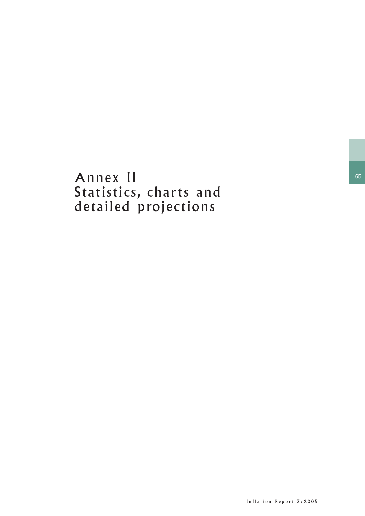## Annex II Statistics, charts and detailed projections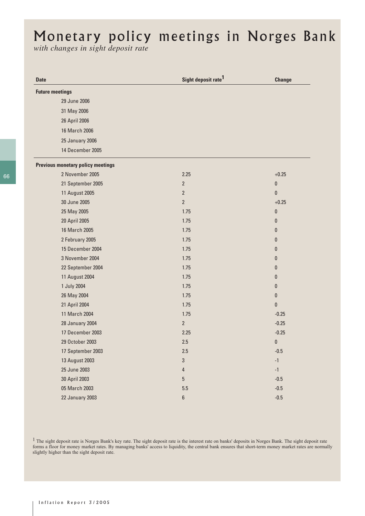# Monetary policy meetings in Norges Bank

*with changes in sight deposit rate* 

| <b>Date</b>            |                                          | Sight deposit rate <sup>1</sup> | <b>Change</b> |
|------------------------|------------------------------------------|---------------------------------|---------------|
| <b>Future meetings</b> |                                          |                                 |               |
|                        | 29 June 2006                             |                                 |               |
|                        | 31 May 2006                              |                                 |               |
|                        | 26 April 2006                            |                                 |               |
|                        | 16 March 2006                            |                                 |               |
|                        | <b>25 January 2006</b>                   |                                 |               |
|                        | 14 December 2005                         |                                 |               |
|                        | <b>Previous monetary policy meetings</b> |                                 |               |
|                        | 2 November 2005                          | 2.25                            | $+0.25$       |
|                        | 21 September 2005                        | $\overline{2}$                  | $\pmb{0}$     |
|                        | 11 August 2005                           | $\overline{2}$                  | $\mathbf{0}$  |
|                        | 30 June 2005                             | $\overline{2}$                  | $+0.25$       |
|                        | 25 May 2005                              | 1.75                            | $\pmb{0}$     |
|                        | 20 April 2005                            | 1.75                            | $\pmb{0}$     |
|                        | 16 March 2005                            | 1.75                            | $\mathbf{0}$  |
|                        | 2 February 2005                          | 1.75                            | $\mathbf{0}$  |
|                        | 15 December 2004                         | 1.75                            | $\mathbf{0}$  |
|                        | 3 November 2004                          | 1.75                            | $\mathbf{0}$  |
|                        | 22 September 2004                        | 1.75                            | $\mathbf{0}$  |
|                        | 11 August 2004                           | 1.75                            | $\mathbf{0}$  |
|                        | 1 July 2004                              | 1.75                            | $\pmb{0}$     |
|                        | 26 May 2004                              | 1.75                            | $\pmb{0}$     |
|                        | 21 April 2004                            | 1.75                            | $\pmb{0}$     |
|                        | 11 March 2004                            | 1.75                            | $-0.25$       |
|                        | <b>28 January 2004</b>                   | $\overline{2}$                  | $-0.25$       |
|                        | 17 December 2003                         | 2.25                            | $-0.25$       |
|                        | 29 October 2003                          | 2.5                             | $\pmb{0}$     |
|                        | 17 September 2003                        | 2.5                             | $-0.5$        |
|                        | 13 August 2003                           | $\sqrt{3}$                      | $-1$          |
|                        | 25 June 2003                             | 4                               | $-1$          |
|                        | 30 April 2003                            | $\sqrt{5}$                      | $-0.5\,$      |
|                        | 05 March 2003                            | $5.5\,$                         | $-0.5\,$      |
|                        | <b>22 January 2003</b>                   | $\boldsymbol{6}$                | $-0.5\,$      |

<sup>1</sup> The sight deposit rate is Norges Bank's key rate. The sight deposit rate is the interest rate on banks' deposits in Norges Bank. The sight deposit rate forms a floor for money market rates. By managing banks' access to liquidity, the central bank ensures that short-term money market rates are normally slightly higher than the sight deposit rate.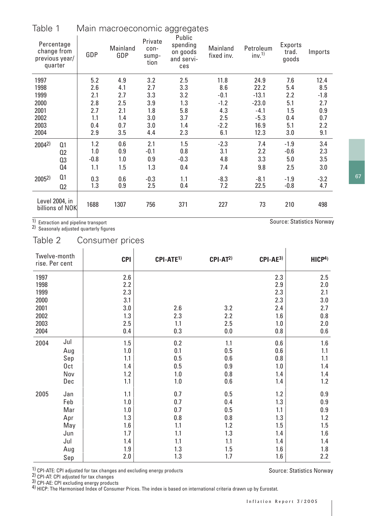| Table 1    |                                                        | Main macroeconomic aggregates |                 |                                  |                                                     |                        |                                |                                  |         |  |
|------------|--------------------------------------------------------|-------------------------------|-----------------|----------------------------------|-----------------------------------------------------|------------------------|--------------------------------|----------------------------------|---------|--|
|            | Percentage<br>change from<br>previous year/<br>quarter | GDP                           | Mainland<br>GDP | Private<br>con-<br>sump-<br>tion | Public<br>spending<br>on goods<br>and servi-<br>ces | Mainland<br>fixed inv. | Petroleum<br>inv. <sup>1</sup> | <b>Exports</b><br>trad.<br>goods | Imports |  |
| 1997       |                                                        | 5.2                           | 4.9             | 3.2                              | 2.5                                                 | 11.8                   | 24.9                           | 7.6                              | 12.4    |  |
| 1998       |                                                        | 2.6                           | 4.1             | 2.7                              | 3.3                                                 | 8.6                    | 22.2                           | 5.4                              | 8.5     |  |
| 1999       |                                                        | 2.1                           | 2.7             | 3.3                              | 3.2                                                 | $-0.1$                 | $-13.1$                        | 2.2                              | $-1.8$  |  |
| 2000       |                                                        | 2.8                           | 2.5             | 3.9                              | 1.3                                                 | $-1.2$                 | $-23.0$                        | 5.1                              | 2.7     |  |
| 2001       |                                                        | 2.7                           | 2.1             | 1.8                              | 5.8                                                 | 4.3                    | $-4.1$                         | 1.5                              | 0.9     |  |
| 2002       |                                                        | 1.1                           | 1.4             | 3.0                              | 3.7                                                 | 2.5                    | $-5.3$                         | 0.4                              | 0.7     |  |
| 2003       |                                                        | 0.4                           | 0.7             | 3.0                              | 1.4                                                 | $-2.2$                 | 16.9                           | 5.1                              | 2.2     |  |
| 2004       |                                                        | 2.9                           | 3.5             | 4.4                              | 2.3                                                 | 6.1                    | 12.3                           | 3.0                              | 9.1     |  |
| $2004^{2}$ | Q <sub>1</sub>                                         | 1.2                           | 0.6             | 2.1                              | 1.5                                                 | $-2.3$                 | 7.4                            | $-1.9$                           | 3.4     |  |
|            | 02                                                     | 1.0                           | 0.9             | $-0.1$                           | 0.8                                                 | 3.1                    | 2.2                            | $-0.6$                           | 2.3     |  |
|            | Q <sub>3</sub>                                         | $-0.8$                        | 1.0             | 0.9                              | $-0.3$                                              | 4.8                    | 3.3                            | 5.0                              | 3.5     |  |
|            | Q4                                                     | 1.1                           | 1.5             | 1.3                              | 0.4                                                 | 7.4                    | 9.8                            | 2.5                              | 3.0     |  |
| $2005^{2}$ | Q <sub>1</sub>                                         | 0.3                           | 0.6             | $-0.3$                           | 1.1                                                 | $-8.3$                 | $-8.1$                         | $-1.9$                           | $-3.2$  |  |
|            | Q <sub>2</sub>                                         | 1.3                           | 0.9             | 2.5                              | 0.4                                                 | 7.2                    | 22.5                           | $-0.8$                           | 4.7     |  |
|            | Level 2004, in<br>billions of NOK                      | 1688                          | 1307            | 756                              | 371                                                 | 227                    | 73                             | 210                              | 498     |  |

1) Extraction and pipeline transport<br>2) Seasonaly adjusted quarterly figures

Table 2 Consumer prices

| Twelve-month<br>rise. Per cent |     | <b>CPI</b> | CPI-ATE <sup>1)</sup> | $CPI-AT2$ | $CPI-AE3$ | HICP <sup>4</sup> |
|--------------------------------|-----|------------|-----------------------|-----------|-----------|-------------------|
| 1997                           |     | 2.6        |                       |           | 2.3       | 2.5               |
| 1998                           |     | 2.2        |                       |           | 2.9       | 2.0               |
| 1999                           |     | 2.3        |                       |           | 2.3       | 2.1               |
| 2000                           |     | 3.1        |                       |           | 2.3       | 3.0               |
| 2001                           |     | 3.0        | 2.6                   | 3.2       | 2.4       | 2.7               |
| 2002                           |     | 1.3        | 2.3                   | 2.2       | 1.6       | 0.8               |
| 2003                           |     | 2.5        | 1.1                   | 2.5       | 1.0       | 2.0               |
| 2004                           |     | 0.4        | 0.3                   | 0.0       | 0.8       | 0.6               |
| 2004                           | Jul | 1.5        | 0.2                   | 1.1       | 0.6       | $1.6\,$           |
|                                | Aug | 1.0        | $0.1\,$               | 0.5       | 0.6       | 1.1               |
|                                | Sep | 1.1        | 0.5                   | 0.6       | 0.8       | 1.1               |
|                                | 0ct | 1.4        | 0.5                   | 0.9       | 1.0       | 1.4               |
|                                | Nov | 1.2        | 1.0                   | 0.8       | 1.4       | 1.4               |
|                                | Dec | 1.1        | 1.0                   | 0.6       | 1.4       | 1.2               |
| 2005                           | Jan | 1.1        | 0.7                   | 0.5       | 1.2       | 0.9               |
|                                | Feb | 1.0        | 0.7                   | 0.4       | 1.3       | 0.9               |
|                                | Mar | 1.0        | 0.7                   | 0.5       | 1.1       | $0.9\,$           |
|                                | Apr | 1.3        | 0.8                   | 0.8       | 1.3       | 1.2               |
|                                | May | 1.6        | 1.1                   | 1.2       | 1.5       | 1.5               |
|                                | Jun | 1.7        | 1.1                   | 1.3       | 1.4       | 1.6               |
|                                | Jul | 1.4        | 1.1                   | 1.1       | 1.4       | 1.4               |
|                                | Aug | 1.9        | 1.3                   | 1.5       | 1.6       | $1.8\,$           |
|                                | Sep | 2.0        | 1.3                   | 1.7       | 1.6       | 2.2               |

1) CPI-ATE: CPI adjusted for tax changes and excluding energy products<br>2) CPI-AT: CPI adjusted for tax changes<br>3) CPI-AE: CPI excluding energy products<br>4) HICP: The Harmonised Index of Consumer Prices. The index is based

Source: Statistics Norway

Source: Statistics Norway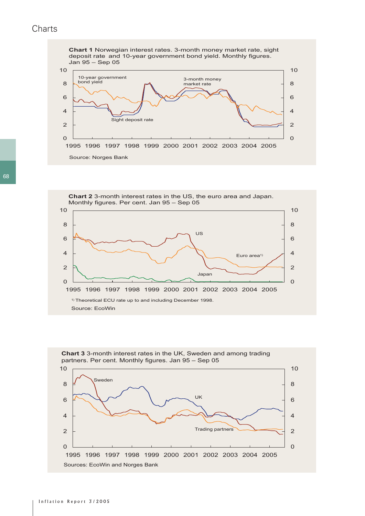## **Charts**







68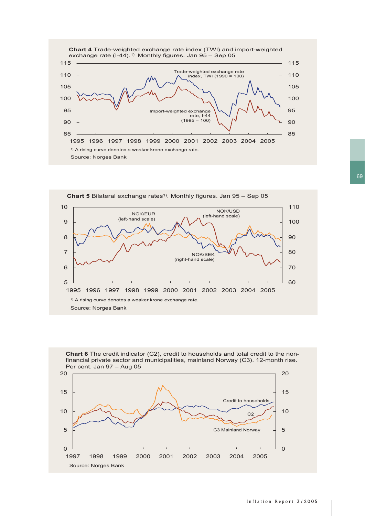





69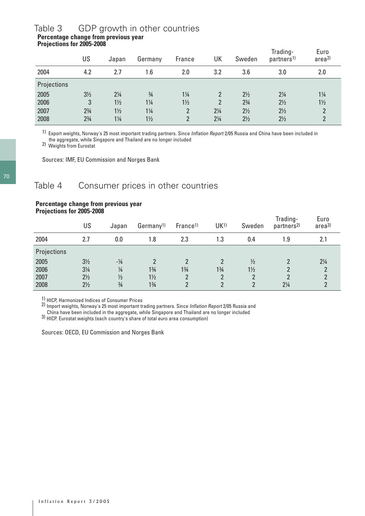#### **Percentage change from previous year Projections for 2005-2008** Table 3 GDP growth in other countries

|             | US             | Japan          | Germany        | France         | UK             | Sweden         | Trading-<br>partners <sup>1)</sup> | Euro<br>area <sup>2)</sup> |
|-------------|----------------|----------------|----------------|----------------|----------------|----------------|------------------------------------|----------------------------|
| 2004        | 4.2            | 2.7            | 1.6            | 2.0            | 3.2            | 3.6            | 3.0                                | 2.0                        |
| Projections |                |                |                |                |                |                |                                    |                            |
| 2005        | $3\frac{1}{2}$ | $2\frac{1}{4}$ | $\frac{3}{4}$  | $1\frac{1}{4}$ |                | $2\frac{1}{2}$ | $2\frac{1}{4}$                     | $1\frac{1}{4}$             |
| 2006        | 3              | $1\frac{1}{2}$ | $1\frac{1}{4}$ | $1\frac{1}{2}$ |                | $2\frac{3}{4}$ | $2\frac{1}{2}$                     | $1\frac{1}{2}$             |
| 2007        | $2\frac{3}{4}$ | $1\frac{1}{2}$ | $1\frac{1}{4}$ | 2              | $2\frac{1}{4}$ | $2\frac{1}{2}$ | $2\frac{1}{2}$                     | $\overline{2}$             |
| 2008        | $2\frac{3}{4}$ | $1\frac{1}{4}$ | $1\frac{1}{2}$ | າ              | $2\frac{1}{4}$ | $2\frac{1}{2}$ | $2\frac{1}{2}$                     | ີ                          |

1) Export weights, Norway's 25 most important trading partners. Since Inflation Report 2/05 Russia and China have been included in the aggregate, while Singapore and Thailand are no longer included 2) Weights from Eurostat

Sources: IMF, EU Commission and Norges Bank

## Table 4 Consumer prices in other countries

#### **Percentage change from previous year Projections for 2005-2008**

|             | US             | Japan         | Germany <sup>1)</sup> | France <sup>1)</sup> | UK <sup>1</sup> | Sweden         | Trading-<br>partners <sup>2)</sup> | Euro<br>area <sup>3)</sup> |
|-------------|----------------|---------------|-----------------------|----------------------|-----------------|----------------|------------------------------------|----------------------------|
| 2004        | 2.7            | 0.0           | 1.8                   | 2.3                  | 1.3             | 0.4            | 1.9                                | 2.1                        |
| Projections |                |               |                       |                      |                 |                |                                    |                            |
| 2005        | $3\frac{1}{2}$ | $-1/4$        |                       |                      |                 | $\frac{1}{2}$  |                                    | $2\frac{1}{4}$             |
| 2006        | $3\frac{1}{4}$ | $\frac{1}{4}$ | $1\frac{3}{4}$        | $1\frac{3}{4}$       | $1\frac{3}{4}$  | $1\frac{1}{2}$ | 2                                  |                            |
| 2007        | $2\frac{1}{2}$ | $\frac{1}{2}$ | $1\frac{1}{2}$        |                      | 2               | າ              | າ                                  |                            |
| 2008        | $2\frac{1}{2}$ | $\frac{3}{4}$ | $1\frac{3}{4}$        | າ                    | $\overline{2}$  | າ              | $2\frac{1}{4}$                     |                            |

1) HICP, Harmonized Indices of Consumer Prices<br>
2) Import weights, Norway's 25 most important trading partners. Since *Inflation Report* 2/05 Russia and<br>
2) Import weights, Norway's 25 most important trading partners. Sinc

3) HICP. Eurostat weights (each country's share of total euro area consumption)

Sources: OECD, EU Commission and Norges Bank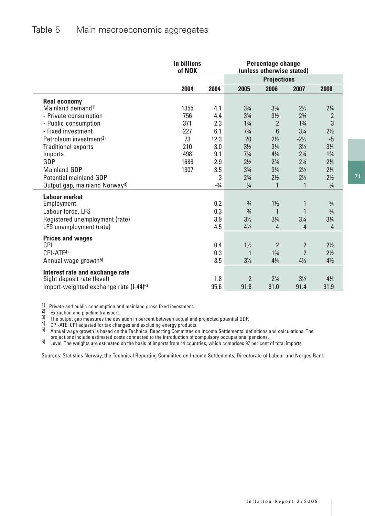|                                                    | <b>In billions</b><br>of NOK |        | <b>Percentage change</b><br>(unless otherwise stated) |                    |                 |                |
|----------------------------------------------------|------------------------------|--------|-------------------------------------------------------|--------------------|-----------------|----------------|
|                                                    |                              |        |                                                       | <b>Projections</b> |                 |                |
|                                                    | 2004                         | 2004   | 2005                                                  | 2006               | 2007            | 2008           |
| <b>Real economy</b>                                |                              |        |                                                       |                    |                 |                |
| Mainland demand <sup>1)</sup>                      | 1355                         | 4.1    | $3\frac{3}{4}$                                        | $3\frac{3}{4}$     | $2\frac{1}{2}$  | $2\frac{1}{4}$ |
| - Private consumption                              | 756                          | 4.4    | $3\frac{3}{4}$                                        | $3\frac{1}{2}$     | $2\frac{3}{4}$  | $\overline{2}$ |
| - Public consumption                               | 371                          | 2.3    | $1\frac{3}{4}$                                        | $\overline{2}$     | $1\frac{3}{4}$  | $\mathbf{3}$   |
| - Fixed investment                                 | 227                          | 6.1    | $7\frac{3}{4}$                                        | $6\phantom{1}$     | $3\frac{1}{4}$  | $2\frac{1}{2}$ |
| Petroleum investment <sup>2)</sup>                 | 73                           | 12.3   | 20                                                    | $2\frac{1}{2}$     | $-2\frac{1}{2}$ | $-5$           |
| <b>Traditional exports</b>                         | 210                          | 3.0    | $3\frac{1}{2}$                                        | $3\frac{1}{4}$     | $3\frac{1}{2}$  | $3\frac{1}{4}$ |
| Imports                                            | 498                          | 9.1    | $7\frac{1}{4}$                                        | $4\frac{1}{4}$     | $2\frac{1}{4}$  | $1\frac{3}{4}$ |
| GDP                                                | 1688                         | 2.9    | $2\frac{1}{2}$                                        | $2\frac{3}{4}$     | $2\frac{1}{4}$  | $2\frac{1}{4}$ |
| <b>Mainland GDP</b>                                | 1307                         | 3.5    | $3\frac{3}{4}$                                        | $3\frac{1}{4}$     | $2\frac{1}{2}$  | $2\frac{1}{4}$ |
| <b>Potential mainland GDP</b>                      |                              | 3      | $2\frac{3}{4}$                                        | $2\frac{1}{2}$     | $2\frac{1}{2}$  | $2\frac{1}{2}$ |
| Output gap, mainland Norway <sup>3)</sup>          |                              | $-3/4$ | $\frac{1}{4}$                                         | $\mathbf{1}$       | $\mathbf{1}$    | $\frac{3}{4}$  |
| <b>Labour market</b>                               |                              |        |                                                       |                    |                 |                |
| Employment                                         |                              | 0.2    | $\frac{3}{4}$                                         | $1\frac{1}{2}$     | 1               | $\frac{3}{4}$  |
| Labour force, LFS                                  |                              | 0.3    | $\frac{3}{4}$                                         | $\mathbf{1}$       |                 | $\frac{3}{4}$  |
| Registered unemployment (rate)                     |                              | 3.9    | $3\frac{1}{2}$                                        | $3\frac{1}{4}$     | $3\frac{1}{4}$  | $3\frac{1}{4}$ |
| LFS unemployment (rate)                            |                              | 4.5    | $4\frac{1}{2}$                                        | $\overline{4}$     | 4               | 4              |
| <b>Prices and wages</b>                            |                              |        |                                                       |                    |                 |                |
| <b>CPI</b>                                         |                              | 0.4    | $1\frac{1}{2}$                                        | $\overline{2}$     | $\overline{2}$  | $2\frac{1}{2}$ |
| CPI-ATE <sup>4)</sup>                              |                              | 0.3    | 1                                                     | $1\frac{3}{4}$     | $\overline{2}$  | $2\frac{1}{2}$ |
| Annual wage growth <sup>5)</sup>                   |                              | 3.5    | $3\frac{1}{2}$                                        | $4\frac{1}{4}$     | $4\frac{1}{2}$  | $4\frac{1}{2}$ |
|                                                    |                              |        |                                                       |                    |                 |                |
| Interest rate and exchange rate                    |                              | 1.8    | $\overline{2}$                                        | $2\frac{3}{4}$     | $3\frac{1}{2}$  | $4\frac{1}{4}$ |
| Sight deposit rate (level)                         |                              | 95.6   | 91.8                                                  | 91.0               | 91.4            | 91.9           |
| Import-weighted exchange rate (I-44) <sup>6)</sup> |                              |        |                                                       |                    |                 |                |

1) Private and public consumption and mainland gross fixed investment. 2) Extraction and pipeline transport.

The output gap measures the deviation in percent between actual and projected potential GDP.<br>
The output gap measures the deviation in percent between actual and projected potential GDP.<br>
2) CPI-ATE: CPI adjusted for tax c

projections include estimated costs connected to the introduction of compulsory occupational pensions.<br>B) Level. The weights are estimated on the basis of imports from 44 countries, which comprises 97 per cent of total im

Sources: Statistics Norway, the Technical Reporting Committee on Income Settlements, Directorate of Labour and Norges Bank